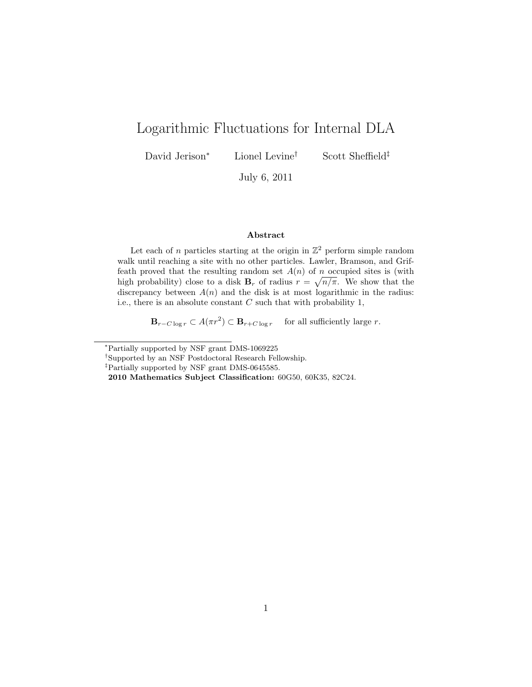# Logarithmic Fluctuations for Internal DLA

David Jerison<sup>∗</sup> Lionel Levine† Scott Sheffield‡

July 6, 2011

### Abstract

Let each of n particles starting at the origin in  $\mathbb{Z}^2$  perform simple random walk until reaching a site with no other particles. Lawler, Bramson, and Griffeath proved that the resulting random set  $A(n)$  of n occupied sites is (with high probability) close to a disk  $\mathbf{B}_r$  of radius  $r = \sqrt{n/\pi}$ . We show that the discrepancy between  $A(n)$  and the disk is at most logarithmic in the radius: i.e., there is an absolute constant  $C$  such that with probability 1,

 $\mathbf{B}_{r-C \log r} \subset A(\pi r^2) \subset \mathbf{B}_{r+C \log r}$  for all sufficiently large r.

<sup>∗</sup>Partially supported by NSF grant DMS-1069225

<sup>†</sup>Supported by an NSF Postdoctoral Research Fellowship.

<sup>‡</sup>Partially supported by NSF grant DMS-0645585.

<sup>2010</sup> Mathematics Subject Classification: 60G50, 60K35, 82C24.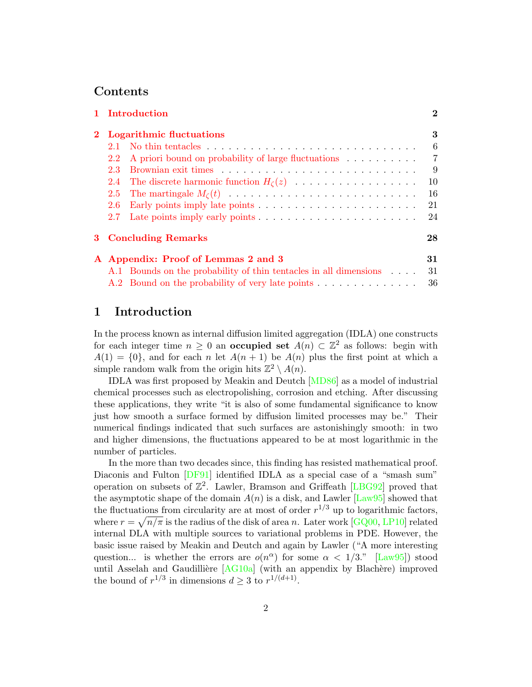### Contents

|                                                                   | 1 Introduction<br><b>Logarithmic fluctuations</b> |                                                                                   |                |  |
|-------------------------------------------------------------------|---------------------------------------------------|-----------------------------------------------------------------------------------|----------------|--|
|                                                                   |                                                   |                                                                                   |                |  |
|                                                                   | 2.1                                               |                                                                                   | 6              |  |
|                                                                   | $2.2^{\circ}$                                     | A priori bound on probability of large fluctuations                               | $\overline{7}$ |  |
|                                                                   | $2.3^{\circ}$                                     |                                                                                   | -9             |  |
|                                                                   |                                                   | 2.4 The discrete harmonic function $H_{\zeta}(z)$                                 | 10             |  |
|                                                                   | 2.5                                               |                                                                                   | 16             |  |
|                                                                   | 2.6                                               | Early points imply late points $\ldots \ldots \ldots \ldots \ldots \ldots \ldots$ | 21             |  |
|                                                                   | 2.7                                               | Late points imply early points $\ldots \ldots \ldots \ldots \ldots \ldots \ldots$ | 24             |  |
|                                                                   | 28<br>3 Concluding Remarks                        |                                                                                   |                |  |
|                                                                   | 31<br>A Appendix: Proof of Lemmas 2 and 3         |                                                                                   |                |  |
| A.1 Bounds on the probability of thin tentacles in all dimensions |                                                   |                                                                                   | 31             |  |
|                                                                   |                                                   | A.2 Bound on the probability of very late points                                  | 36             |  |

# <span id="page-1-0"></span>1 Introduction

In the process known as internal diffusion limited aggregation (IDLA) one constructs for each integer time  $n \geq 0$  an **occupied set**  $A(n) \subset \mathbb{Z}^2$  as follows: begin with  $A(1) = \{0\}$ , and for each n let  $A(n + 1)$  be  $A(n)$  plus the first point at which a simple random walk from the origin hits  $\mathbb{Z}^2 \setminus A(n)$ .

IDLA was first proposed by Meakin and Deutch [\[MD86\]](#page-37-0) as a model of industrial chemical processes such as electropolishing, corrosion and etching. After discussing these applications, they write "it is also of some fundamental significance to know just how smooth a surface formed by diffusion limited processes may be." Their numerical findings indicated that such surfaces are astonishingly smooth: in two and higher dimensions, the fluctuations appeared to be at most logarithmic in the number of particles.

In the more than two decades since, this finding has resisted mathematical proof. Diaconis and Fulton [\[DF91\]](#page-36-0) identified IDLA as a special case of a "smash sum" operation on subsets of  $\mathbb{Z}^2$ . Lawler, Bramson and Griffeath [\[LBG92\]](#page-36-1) proved that the asymptotic shape of the domain  $A(n)$  is a disk, and Lawler [\[Law95\]](#page-36-2) showed that the fluctuations from circularity are at most of order  $r^{1/3}$  up to logarithmic factors, where  $r = \sqrt{n/\pi}$  is the radius of the disk of area n. Later work [\[GQ00,](#page-36-3) [LP10\]](#page-37-1) related internal DLA with multiple sources to variational problems in PDE. However, the basic issue raised by Meakin and Deutch and again by Lawler ("A more interesting question... is whether the errors are  $o(n^{\alpha})$  for some  $\alpha < 1/3$ ." [\[Law95\]](#page-36-2)) stood until Asselah and Gaudillière  $[AG10a]$  (with an appendix by Blachère) improved the bound of  $r^{1/3}$  in dimensions  $d \geq 3$  to  $r^{1/(d+1)}$ .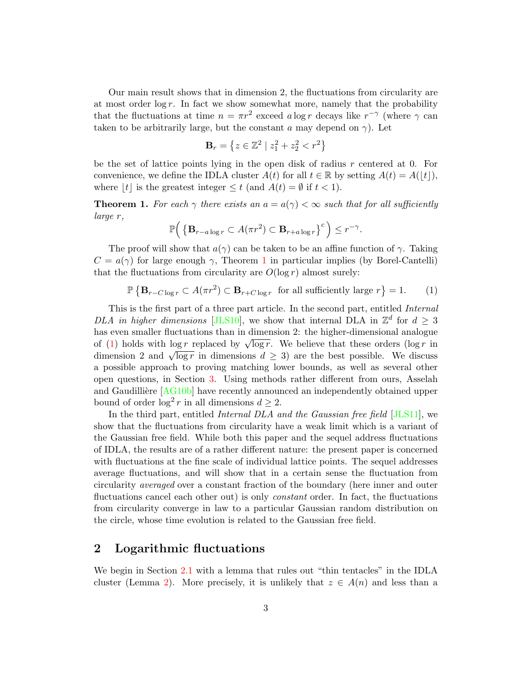Our main result shows that in dimension 2, the fluctuations from circularity are at most order  $\log r$ . In fact we show somewhat more, namely that the probability that the fluctuations at time  $n = \pi r^2$  exceed a log r decays like  $r^{-\gamma}$  (where  $\gamma$  can taken to be arbitrarily large, but the constant a may depend on  $\gamma$ ). Let

$$
\mathbf{B}_r = \left\{ z \in \mathbb{Z}^2 \mid z_1^2 + z_2^2 < r^2 \right\}
$$

be the set of lattice points lying in the open disk of radius  $r$  centered at 0. For convenience, we define the IDLA cluster  $A(t)$  for all  $t \in \mathbb{R}$  by setting  $A(t) = A(|t|)$ , where  $|t|$  is the greatest integer  $\leq t$  (and  $A(t) = \emptyset$  if  $t < 1$ ).

<span id="page-2-1"></span>**Theorem 1.** For each  $\gamma$  there exists an  $a = a(\gamma) < \infty$  such that for all sufficiently large r,

$$
\mathbb{P}\Big(\left\{\mathbf{B}_{r-a\log r}\subset A(\pi r^2)\subset \mathbf{B}_{r+a\log r}\right\}^c\Big)\leq r^{-\gamma}.
$$

The proof will show that  $a(\gamma)$  can be taken to be an affine function of  $\gamma$ . Taking  $C = a(\gamma)$  for large enough  $\gamma$ , Theorem [1](#page-2-1) in particular implies (by Borel-Cantelli) that the fluctuations from circularity are  $O(\log r)$  almost surely:

<span id="page-2-2"></span>
$$
\mathbb{P}\left\{\mathbf{B}_{r-C\log r} \subset A(\pi r^2) \subset \mathbf{B}_{r+C\log r} \text{ for all sufficiently large } r\right\} = 1. \tag{1}
$$

This is the first part of a three part article. In the second part, entitled Internal DLA in higher dimensions [\[JLS10\]](#page-36-5), we show that internal DLA in  $\mathbb{Z}^d$  for  $d \geq 3$ has even smaller fluctuations than in dimension 2: the higher-dimensional analogue has even smaller intertuations than in dimension 2, the inglier-dimensional analogue<br>of [\(1\)](#page-2-2) holds with log r replaced by  $\sqrt{\log r}$ . We believe that these orders (log r in or (1) holds with  $log r$  replaced by  $\sqrt{log r}$ . We believe that these orders (log r in dimension 2 and  $\sqrt{log r}$  in dimensions  $d \geq 3$ ) are the best possible. We discuss a possible approach to proving matching lower bounds, as well as several other open questions, in Section [3.](#page-27-0) Using methods rather different from ours, Asselah and Gaudillière [\[AG10b\]](#page-36-6) have recently announced an independently obtained upper bound of order  $\log^2 r$  in all dimensions  $d \geq 2$ .

In the third part, entitled Internal DLA and the Gaussian free field [\[JLS11\]](#page-36-7), we show that the fluctuations from circularity have a weak limit which is a variant of the Gaussian free field. While both this paper and the sequel address fluctuations of IDLA, the results are of a rather different nature: the present paper is concerned with fluctuations at the fine scale of individual lattice points. The sequel addresses average fluctuations, and will show that in a certain sense the fluctuation from circularity averaged over a constant fraction of the boundary (here inner and outer fluctuations cancel each other out) is only *constant* order. In fact, the fluctuations from circularity converge in law to a particular Gaussian random distribution on the circle, whose time evolution is related to the Gaussian free field.

# <span id="page-2-0"></span>2 Logarithmic fluctuations

We begin in Section [2.1](#page-5-0) with a lemma that rules out "thin tentacles" in the IDLA cluster (Lemma [2\)](#page-5-1). More precisely, it is unlikely that  $z \in A(n)$  and less than a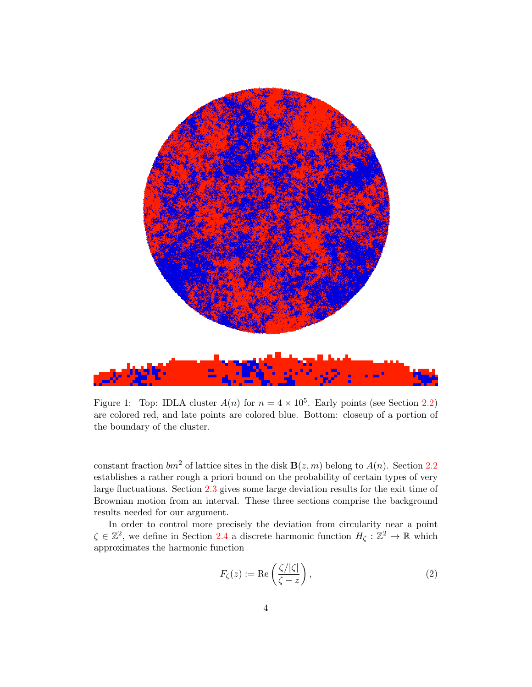

Figure 1: Top: IDLA cluster  $A(n)$  for  $n = 4 \times 10^5$ . Early points (see Section [2.2\)](#page-6-0) are colored red, and late points are colored blue. Bottom: closeup of a portion of the boundary of the cluster.

constant fraction  $bm^2$  of lattice sites in the disk  $\mathbf{B}(z,m)$  belong to  $A(n)$ . Section [2.2](#page-6-0) establishes a rather rough a priori bound on the probability of certain types of very large fluctuations. Section [2.3](#page-8-0) gives some large deviation results for the exit time of Brownian motion from an interval. These three sections comprise the background results needed for our argument.

In order to control more precisely the deviation from circularity near a point  $\zeta \in \mathbb{Z}^2$ , we define in Section [2.4](#page-9-0) a discrete harmonic function  $H_{\zeta}: \mathbb{Z}^2 \to \mathbb{R}$  which approximates the harmonic function

<span id="page-3-0"></span>
$$
F_{\zeta}(z) := \text{Re}\left(\frac{\zeta/|\zeta|}{\zeta - z}\right),\tag{2}
$$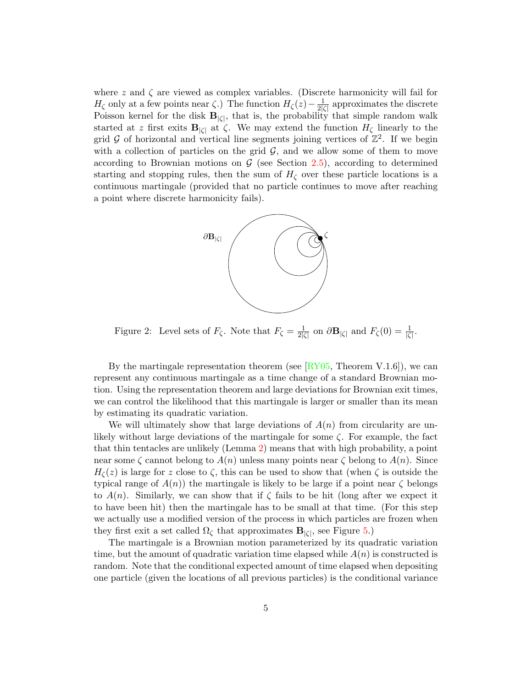where z and  $\zeta$  are viewed as complex variables. (Discrete harmonicity will fail for  $H_{\zeta}$  only at a few points near  $\zeta$ .) The function  $H_{\zeta}(z)-\frac{1}{2|\zeta|}$  $\frac{1}{2|\zeta|}$  approximates the discrete Poisson kernel for the disk  $B_{|\zeta|}$ , that is, the probability that simple random walk started at z first exits  $\mathbf{B}_{|\zeta|}$  at  $\zeta$ . We may extend the function  $H_{\zeta}$  linearly to the grid G of horizontal and vertical line segments joining vertices of  $\mathbb{Z}^2$ . If we begin with a collection of particles on the grid  $G$ , and we allow some of them to move according to Brownian motions on  $G$  (see Section [2.5\)](#page-15-0), according to determined starting and stopping rules, then the sum of  $H<sub>C</sub>$  over these particle locations is a continuous martingale (provided that no particle continues to move after reaching a point where discrete harmonicity fails).



Figure 2: Level sets of  $F_{\zeta}$ . Note that  $F_{\zeta} = \frac{1}{2l\zeta}$  $\frac{1}{2|\zeta|}$  on  $\partial \mathbf{B}_{|\zeta|}$  and  $F_{\zeta}(0) = \frac{1}{|\zeta|}$ .

By the martingale representation theorem (see  $[\overline{\text{RY05}}]$ , Theorem V.1.6]), we can represent any continuous martingale as a time change of a standard Brownian motion. Using the representation theorem and large deviations for Brownian exit times, we can control the likelihood that this martingale is larger or smaller than its mean by estimating its quadratic variation.

We will ultimately show that large deviations of  $A(n)$  from circularity are unlikely without large deviations of the martingale for some  $\zeta$ . For example, the fact that thin tentacles are unlikely (Lemma [2\)](#page-5-1) means that with high probability, a point near some  $\zeta$  cannot belong to  $A(n)$  unless many points near  $\zeta$  belong to  $A(n)$ . Since  $H_{\zeta}(z)$  is large for z close to  $\zeta$ , this can be used to show that (when  $\zeta$  is outside the typical range of  $A(n)$ ) the martingale is likely to be large if a point near  $\zeta$  belongs to  $A(n)$ . Similarly, we can show that if  $\zeta$  fails to be hit (long after we expect it to have been hit) then the martingale has to be small at that time. (For this step we actually use a modified version of the process in which particles are frozen when they first exit a set called  $\Omega_{\zeta}$  that approximates  $\mathbf{B}_{|\zeta|}$ , see Figure [5.](#page-11-0))

The martingale is a Brownian motion parameterized by its quadratic variation time, but the amount of quadratic variation time elapsed while  $A(n)$  is constructed is random. Note that the conditional expected amount of time elapsed when depositing one particle (given the locations of all previous particles) is the conditional variance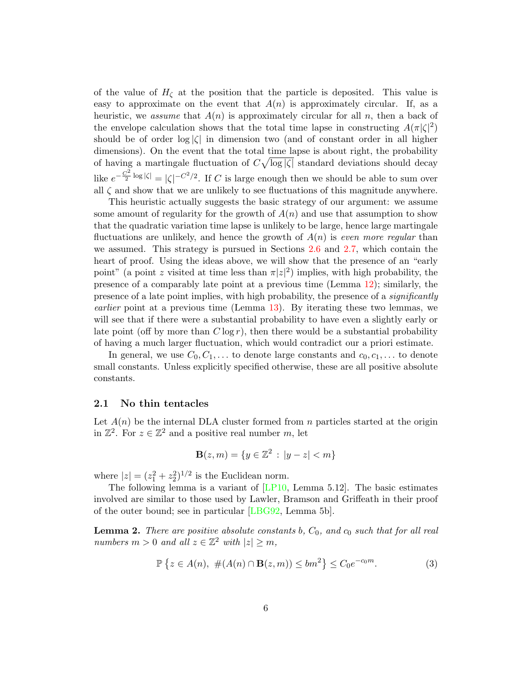of the value of  $H<sub>c</sub>$  at the position that the particle is deposited. This value is easy to approximate on the event that  $A(n)$  is approximately circular. If, as a heuristic, we assume that  $A(n)$  is approximately circular for all n, then a back of the envelope calculation shows that the total time lapse in constructing  $A(\pi|\zeta|^2)$ should be of order  $log |\zeta|$  in dimension two (and of constant order in all higher dimensions). On the event that the total time lapse is about right, the probability of having a martingale fluctuation of  $C_v$   $\log |\zeta|$  standard deviations should decay like  $e^{-\frac{C^2}{2}\log|\zeta|} = |\zeta|^{-C^2/2}$ . If C is large enough then we should be able to sum over all  $\zeta$  and show that we are unlikely to see fluctuations of this magnitude anywhere.

This heuristic actually suggests the basic strategy of our argument: we assume some amount of regularity for the growth of  $A(n)$  and use that assumption to show that the quadratic variation time lapse is unlikely to be large, hence large martingale fluctuations are unlikely, and hence the growth of  $A(n)$  is even more regular than we assumed. This strategy is pursued in Sections [2.6](#page-20-0) and [2.7,](#page-23-0) which contain the heart of proof. Using the ideas above, we will show that the presence of an "early point" (a point z visited at time less than  $\pi |z|^2$ ) implies, with high probability, the presence of a comparably late point at a previous time (Lemma [12\)](#page-20-1); similarly, the presence of a late point implies, with high probability, the presence of a significantly earlier point at a previous time (Lemma [13\)](#page-23-1). By iterating these two lemmas, we will see that if there were a substantial probability to have even a slightly early or late point (off by more than  $C \log r$ ), then there would be a substantial probability of having a much larger fluctuation, which would contradict our a priori estimate.

In general, we use  $C_0, C_1, \ldots$  to denote large constants and  $c_0, c_1, \ldots$  to denote small constants. Unless explicitly specified otherwise, these are all positive absolute constants.

### <span id="page-5-0"></span>2.1 No thin tentacles

Let  $A(n)$  be the internal DLA cluster formed from n particles started at the origin in  $\mathbb{Z}^2$ . For  $z \in \mathbb{Z}^2$  and a positive real number m, let

$$
\mathbf{B}(z,m) = \{ y \in \mathbb{Z}^2 : |y - z| < m \}
$$

where  $|z| = (z_1^2 + z_2^2)^{1/2}$  is the Euclidean norm.

The following lemma is a variant of  $[LP10, Lemma 5.12]$  $[LP10, Lemma 5.12]$ . The basic estimates involved are similar to those used by Lawler, Bramson and Griffeath in their proof of the outer bound; see in particular [\[LBG92,](#page-36-1) Lemma 5b].

<span id="page-5-1"></span>**Lemma 2.** There are positive absolute constants b,  $C_0$ , and  $c_0$  such that for all real numbers  $m > 0$  and all  $z \in \mathbb{Z}^2$  with  $|z| \ge m$ ,

<span id="page-5-2"></span>
$$
\mathbb{P}\left\{z\in A(n),\ \#(A(n)\cap\mathbf{B}(z,m))\leq bm^2\right\}\leq C_0e^{-c_0m}.\tag{3}
$$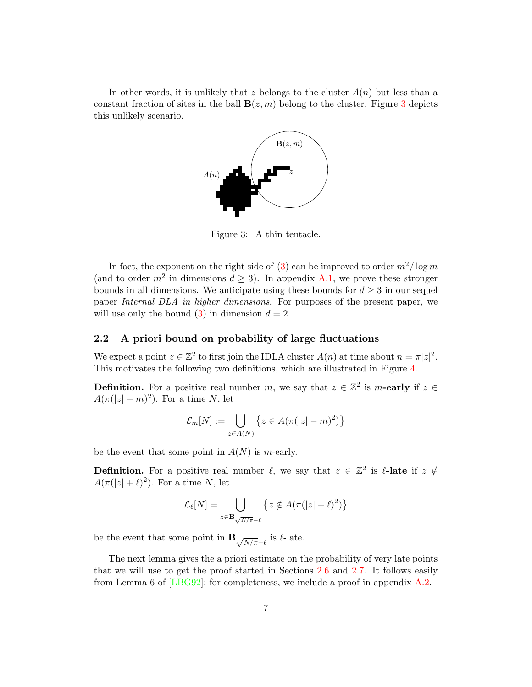In other words, it is unlikely that z belongs to the cluster  $A(n)$  but less than a constant fraction of sites in the ball  $B(z, m)$  belong to the cluster. Figure [3](#page-6-1) depicts this unlikely scenario.



<span id="page-6-1"></span>Figure 3: A thin tentacle.

In fact, the exponent on the right side of [\(3\)](#page-5-2) can be improved to order  $m^2/\log m$ (and to order  $m^2$  in dimensions  $d \geq 3$ ). In appendix [A.1,](#page-30-1) we prove these stronger bounds in all dimensions. We anticipate using these bounds for  $d \geq 3$  in our sequel paper Internal DLA in higher dimensions. For purposes of the present paper, we will use only the bound  $(3)$  in dimension  $d = 2$ .

### <span id="page-6-0"></span>2.2 A priori bound on probability of large fluctuations

We expect a point  $z \in \mathbb{Z}^2$  to first join the IDLA cluster  $A(n)$  at time about  $n = \pi |z|^2$ . This motivates the following two definitions, which are illustrated in Figure [4.](#page-7-1)

**Definition.** For a positive real number m, we say that  $z \in \mathbb{Z}^2$  is m-early if  $z \in \mathbb{Z}^2$  $A(\pi(|z|-m)^2)$ . For a time N, let

$$
\mathcal{E}_m[N] := \bigcup_{z \in A(N)} \left\{ z \in A(\pi(|z| - m)^2) \right\}
$$

be the event that some point in  $A(N)$  is m-early.

**Definition.** For a positive real number  $\ell$ , we say that  $z \in \mathbb{Z}^2$  is  $\ell$ -late if  $z \notin \mathbb{Z}$  $A(\pi(|z|+\ell)^2)$ . For a time N, let

$$
\mathcal{L}_{\ell}[N] = \bigcup_{z \in \mathbf{B}_{\sqrt{N/\pi} - \ell}} \left\{ z \notin A(\pi(|z| + \ell)^2) \right\}
$$

be the event that some point in  $\mathbf{B}_{\sqrt{N/\pi}-\ell}$  is  $\ell$ -late.

The next lemma gives the a priori estimate on the probability of very late points that we will use to get the proof started in Sections [2.6](#page-20-0) and [2.7.](#page-23-0) It follows easily from Lemma 6 of [\[LBG92\]](#page-36-1); for completeness, we include a proof in appendix [A.2.](#page-35-0)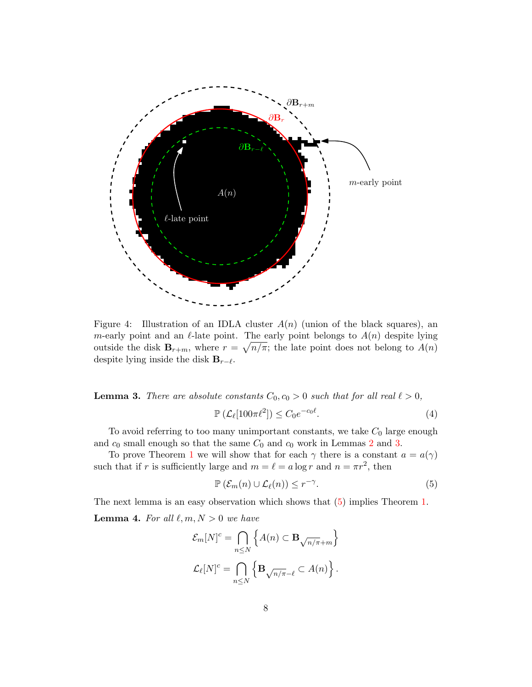

<span id="page-7-1"></span>Figure 4: Illustration of an IDLA cluster  $A(n)$  (union of the black squares), an m-early point and an  $\ell$ -late point. The early point belongs to  $A(n)$  despite lying outside the disk  $\mathbf{B}_{r+m}$ , where  $r = \sqrt{n/\pi}$ ; the late point does not belong to  $A(n)$ despite lying inside the disk  $B_{r-\ell}$ .

<span id="page-7-0"></span>**Lemma 3.** There are absolute constants  $C_0$ ,  $c_0 > 0$  such that for all real  $\ell > 0$ ,

<span id="page-7-3"></span>
$$
\mathbb{P}\left(\mathcal{L}_{\ell}[100\pi\ell^2]\right) \le C_0 e^{-c_0\ell}.\tag{4}
$$

To avoid referring to too many unimportant constants, we take  $C_0$  large enough and  $c_0$  small enough so that the same  $C_0$  and  $c_0$  work in Lemmas [2](#page-5-1) and [3.](#page-7-0)

To prove Theorem [1](#page-2-1) we will show that for each  $\gamma$  there is a constant  $a = a(\gamma)$ such that if r is sufficiently large and  $m = \ell = a \log r$  and  $n = \pi r^2$ , then

<span id="page-7-2"></span>
$$
\mathbb{P}\left(\mathcal{E}_m(n)\cup\mathcal{L}_\ell(n)\right)\leq r^{-\gamma}.\tag{5}
$$

<span id="page-7-4"></span>The next lemma is an easy observation which shows that [\(5\)](#page-7-2) implies Theorem [1.](#page-2-1) **Lemma 4.** For all  $\ell, m, N > 0$  we have

$$
\mathcal{E}_m[N]^c = \bigcap_{n \le N} \left\{ A(n) \subset \mathbf{B}_{\sqrt{n/\pi} + m} \right\}
$$

$$
\mathcal{L}_{\ell}[N]^c = \bigcap_{n \le N} \left\{ \mathbf{B}_{\sqrt{n/\pi} - \ell} \subset A(n) \right\}.
$$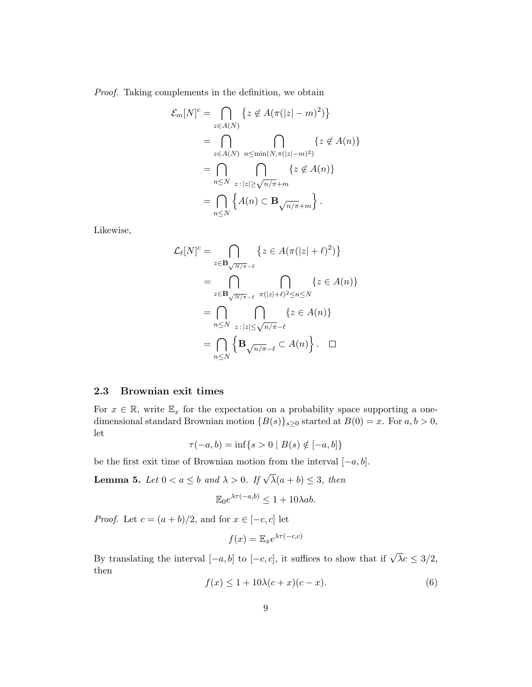Proof. Taking complements in the definition, we obtain

$$
\mathcal{E}_m[N]^c = \bigcap_{z \in A(N)} \{ z \notin A(\pi(|z|-m)^2) \}
$$
  
= 
$$
\bigcap_{z \in A(N)} \bigcap_{n \le \min(N, \pi(|z|-m)^2)} \{ z \notin A(n) \}
$$
  
= 
$$
\bigcap_{n \le N} \bigcap_{z \colon |z| \ge \sqrt{n/\pi} + m} \{ z \notin A(n) \}
$$
  
= 
$$
\bigcap_{n \le N} \{ A(n) \subset \mathbf{B}_{\sqrt{n/\pi} + m} \}.
$$

Likewise,

$$
\mathcal{L}_{\ell}[N]^{c} = \bigcap_{z \in \mathbf{B}_{\sqrt{N/\pi}-\ell}} \{z \in A(\pi(|z|+\ell)^{2})\}
$$

$$
= \bigcap_{z \in \mathbf{B}_{\sqrt{N/\pi}-\ell}} \bigcap_{\pi(|z|+\ell)^{2} \le n \le N} \{z \in A(n)\}
$$

$$
= \bigcap_{n \le N} \bigcap_{z \colon |z| \le \sqrt{n/\pi}-\ell} \{z \in A(n)\}
$$

$$
= \bigcap_{n \le N} \{B_{\sqrt{n/\pi}-\ell} \subset A(n)\}.
$$

### <span id="page-8-0"></span>2.3 Brownian exit times

For  $x \in \mathbb{R}$ , write  $\mathbb{E}_x$  for the expectation on a probability space supporting a onedimensional standard Brownian motion  ${B(s)}_{s\geq0}$  started at  $B(0) = x$ . For  $a, b > 0$ , let

$$
\tau(-a, b) = \inf\{s > 0 \mid B(s) \notin [-a, b]\}
$$

be the first exit time of Brownian motion from the interval  $[-a, b]$ .

<span id="page-8-2"></span>**Lemma 5.** Let  $0 < a \leq b$  and  $\lambda > 0$ . If  $\sqrt{\lambda}(a+b) \leq 3$ , then

$$
\mathbb{E}_0 e^{\lambda \tau(-a,b)} \le 1 + 10\lambda ab.
$$

*Proof.* Let  $c = (a + b)/2$ , and for  $x \in [-c, c]$  let

$$
f(x) = \mathbb{E}_x e^{\lambda \tau(-c,c)}
$$

By translating the interval  $[-a, b]$  to  $[-c, c]$ , it suffices to show that if  $\sqrt{\lambda}c \leq 3/2$ , then

<span id="page-8-1"></span>
$$
f(x) \le 1 + 10\lambda(c+x)(c-x). \tag{6}
$$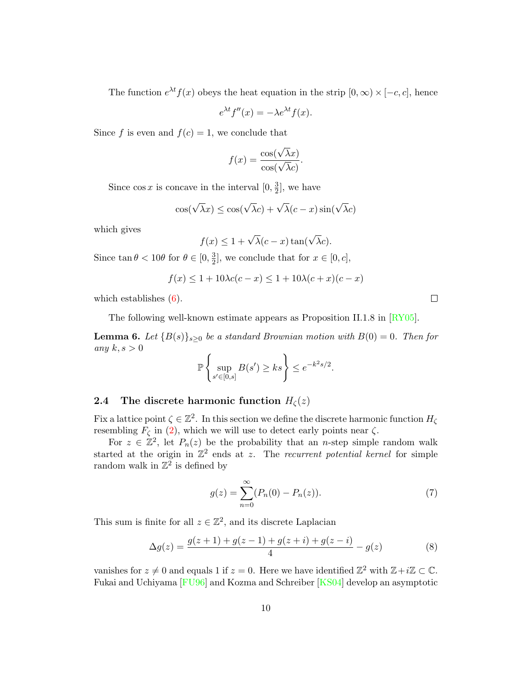The function  $e^{\lambda t} f(x)$  obeys the heat equation in the strip  $[0, \infty) \times [-c, c]$ , hence

$$
e^{\lambda t}f''(x) = -\lambda e^{\lambda t}f(x).
$$

Since f is even and  $f(c) = 1$ , we conclude that

$$
f(x) = \frac{\cos(\sqrt{\lambda}x)}{\cos(\sqrt{\lambda}c)}.
$$

Since  $\cos x$  is concave in the interval  $[0, \frac{3}{2}]$  $\frac{3}{2}$ , we have

$$
\cos(\sqrt{\lambda}x) \le \cos(\sqrt{\lambda}c) + \sqrt{\lambda}(c - x)\sin(\sqrt{\lambda}c)
$$

which gives

$$
f(x) \le 1 + \sqrt{\lambda}(c - x)\tan(\sqrt{\lambda}c).
$$

Since  $\tan \theta < 10\theta$  for  $\theta \in [0, \frac{3}{2}]$  $\frac{3}{2}$ , we conclude that for  $x \in [0, c]$ ,

$$
f(x) \le 1 + 10\lambda c(c - x) \le 1 + 10\lambda(c + x)(c - x)
$$

which establishes  $(6)$ .

The following well-known estimate appears as Proposition II.1.8 in [\[RY05\]](#page-37-2).

<span id="page-9-2"></span>**Lemma 6.** Let  ${B(s)}_{s\geq0}$  be a standard Brownian motion with  $B(0) = 0$ . Then for any  $k, s > 0$ 

$$
\mathbb{P}\left\{\sup_{s'\in[0,s]}B(s')\ge ks\right\}\le e^{-k^2s/2}.
$$

# <span id="page-9-0"></span>2.4 The discrete harmonic function  $H_{\zeta}(z)$

Fix a lattice point  $\zeta \in \mathbb{Z}^2$ . In this section we define the discrete harmonic function  $H_{\zeta}$ resembling  $\overline{F}_{\zeta}$  in [\(2\)](#page-3-0), which we will use to detect early points near  $\zeta$ .

For  $z \in \mathbb{Z}^2$ , let  $P_n(z)$  be the probability that an *n*-step simple random walk started at the origin in  $\mathbb{Z}^2$  ends at z. The recurrent potential kernel for simple random walk in  $\mathbb{Z}^2$  is defined by

$$
g(z) = \sum_{n=0}^{\infty} (P_n(0) - P_n(z)).
$$
 (7)

This sum is finite for all  $z \in \mathbb{Z}^2$ , and its discrete Laplacian

<span id="page-9-1"></span>
$$
\Delta g(z) = \frac{g(z+1) + g(z-1) + g(z+i) + g(z-i)}{4} - g(z) \tag{8}
$$

vanishes for  $z \neq 0$  and equals 1 if  $z = 0$ . Here we have identified  $\mathbb{Z}^2$  with  $\mathbb{Z} + i\mathbb{Z} \subset \mathbb{C}$ . Fukai and Uchiyama [\[FU96\]](#page-36-8) and Kozma and Schreiber [\[KS04\]](#page-36-9) develop an asymptotic

 $\Box$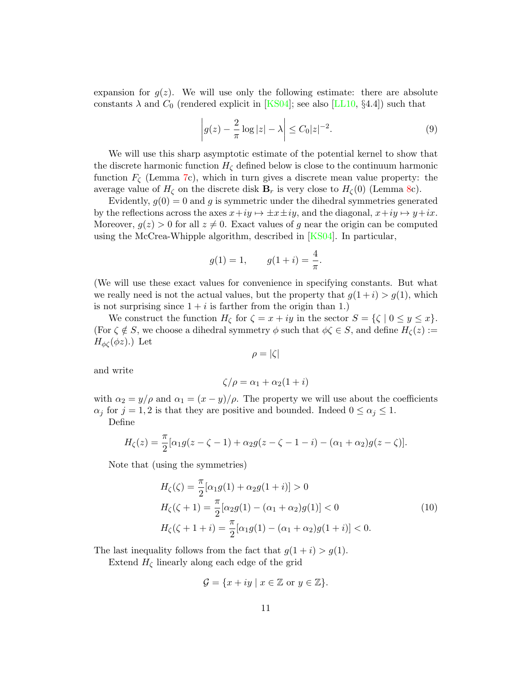expansion for  $q(z)$ . We will use only the following estimate: there are absolute constants  $\lambda$  and  $C_0$  (rendered explicit in [\[KS04\]](#page-36-9); see also [\[LL10,](#page-36-10) §4.4]) such that

<span id="page-10-1"></span>
$$
\left| g(z) - \frac{2}{\pi} \log |z| - \lambda \right| \le C_0 |z|^{-2}.
$$
 (9)

We will use this sharp asymptotic estimate of the potential kernel to show that the discrete harmonic function  $H_{\zeta}$  defined below is close to the continuum harmonic function  $F_{\zeta}$  (Lemma [7c](#page-12-0)), which in turn gives a discrete mean value property: the average value of  $H_{\zeta}$  on the discrete disk  $\mathbf{B}_r$  is very close to  $H_{\zeta}(0)$  (Lemma [8c](#page-13-0)).

Evidently,  $g(0) = 0$  and g is symmetric under the dihedral symmetries generated by the reflections across the axes  $x+iy \mapsto \pm x\pm iy$ , and the diagonal,  $x+iy \mapsto y+ix$ . Moreover,  $g(z) > 0$  for all  $z \neq 0$ . Exact values of g near the origin can be computed using the McCrea-Whipple algorithm, described in  $[KS04]$ . In particular,

$$
g(1) = 1,
$$
  $g(1 + i) = \frac{4}{\pi}.$ 

(We will use these exact values for convenience in specifying constants. But what we really need is not the actual values, but the property that  $g(1+i) > g(1)$ , which is not surprising since  $1 + i$  is farther from the origin than 1.)

We construct the function  $H_{\zeta}$  for  $\zeta = x + iy$  in the sector  $S = {\zeta \mid 0 \le y \le x}$ . (For  $\zeta \notin S$ , we choose a dihedral symmetry  $\phi$  such that  $\phi \zeta \in S$ , and define  $H_{\zeta}(z) :=$  $H_{\phi\zeta}(\phi z)$ .) Let

<span id="page-10-0"></span>
$$
\rho = |\zeta|
$$

and write

$$
\zeta/\rho = \alpha_1 + \alpha_2(1+i)
$$

with  $\alpha_2 = y/\rho$  and  $\alpha_1 = (x - y)/\rho$ . The property we will use about the coefficients  $\alpha_j$  for  $j = 1, 2$  is that they are positive and bounded. Indeed  $0 \le \alpha_j \le 1$ .

Define

$$
H_{\zeta}(z) = \frac{\pi}{2} [\alpha_1 g(z - \zeta - 1) + \alpha_2 g(z - \zeta - 1 - i) - (\alpha_1 + \alpha_2) g(z - \zeta)].
$$

Note that (using the symmetries)

$$
H_{\zeta}(\zeta) = \frac{\pi}{2} [\alpha_1 g(1) + \alpha_2 g(1+i)] > 0
$$
  
\n
$$
H_{\zeta}(\zeta + 1) = \frac{\pi}{2} [\alpha_2 g(1) - (\alpha_1 + \alpha_2) g(1)] < 0
$$
  
\n
$$
H_{\zeta}(\zeta + 1 + i) = \frac{\pi}{2} [\alpha_1 g(1) - (\alpha_1 + \alpha_2) g(1+i)] < 0.
$$
\n(10)

The last inequality follows from the fact that  $g(1+i) > g(1)$ .

Extend  $H_{\zeta}$  linearly along each edge of the grid

$$
\mathcal{G} = \{x + iy \mid x \in \mathbb{Z} \text{ or } y \in \mathbb{Z}\}.
$$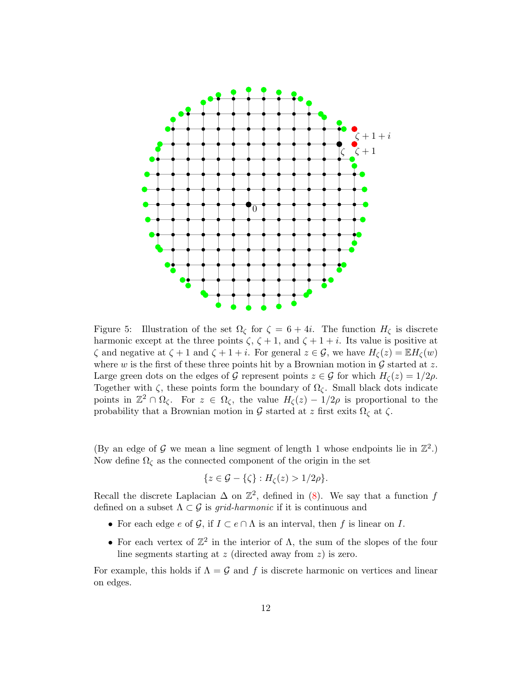

<span id="page-11-0"></span>Figure 5: Illustration of the set  $\Omega_{\zeta}$  for  $\zeta = 6 + 4i$ . The function  $H_{\zeta}$  is discrete harmonic except at the three points  $\zeta$ ,  $\zeta + 1$ , and  $\zeta + 1 + i$ . Its value is positive at  $\zeta$  and negative at  $\zeta + 1$  and  $\zeta + 1 + i$ . For general  $z \in \mathcal{G}$ , we have  $H_{\zeta}(z) = \mathbb{E}H_{\zeta}(w)$ where w is the first of these three points hit by a Brownian motion in  $\mathcal G$  started at z. Large green dots on the edges of G represent points  $z \in \mathcal{G}$  for which  $H_{\zeta}(z) = 1/2\rho$ . Together with  $\zeta$ , these points form the boundary of  $\Omega_{\zeta}$ . Small black dots indicate points in  $\mathbb{Z}^2 \cap \Omega_{\zeta}$ . For  $z \in \Omega_{\zeta}$ , the value  $H_{\zeta}(z) - 1/2\rho$  is proportional to the probability that a Brownian motion in G started at z first exits  $\Omega_{\zeta}$  at  $\zeta$ .

(By an edge of G we mean a line segment of length 1 whose endpoints lie in  $\mathbb{Z}^2$ .) Now define  $\Omega_{\zeta}$  as the connected component of the origin in the set

$$
\{z\in\mathcal{G}-\{\zeta\}:H_{\zeta}(z)>1/2\rho\}.
$$

Recall the discrete Laplacian  $\Delta$  on  $\mathbb{Z}^2$ , defined in [\(8\)](#page-9-1). We say that a function f defined on a subset  $\Lambda \subset \mathcal{G}$  is *grid-harmonic* if it is continuous and

- For each edge e of G, if  $I \subset e \cap \Lambda$  is an interval, then f is linear on I.
- For each vertex of  $\mathbb{Z}^2$  in the interior of  $\Lambda$ , the sum of the slopes of the four line segments starting at  $z$  (directed away from  $z$ ) is zero.

For example, this holds if  $\Lambda = \mathcal{G}$  and f is discrete harmonic on vertices and linear on edges.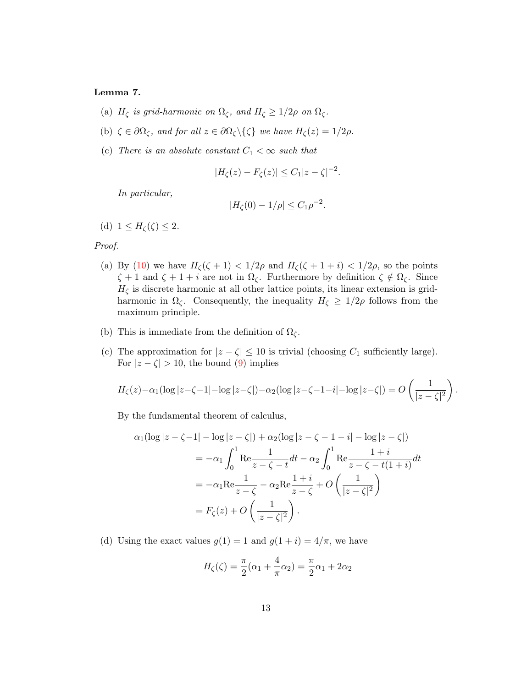### <span id="page-12-0"></span>Lemma 7.

- (a)  $H_{\zeta}$  is grid-harmonic on  $\Omega_{\zeta}$ , and  $H_{\zeta} \geq 1/2\rho$  on  $\Omega_{\zeta}$ .
- (b)  $\zeta \in \partial \Omega_{\zeta}$ , and for all  $z \in \partial \Omega_{\zeta} \setminus {\{\zeta\}}$  we have  $H_{\zeta}(z) = 1/2\rho$ .
- (c) There is an absolute constant  $C_1 < \infty$  such that

$$
|H_{\zeta}(z) - F_{\zeta}(z)| \le C_1 |z - \zeta|^{-2}.
$$

In particular,

$$
|H_{\zeta}(0) - 1/\rho| \le C_1 \rho^{-2}.
$$

(d)  $1 \leq H_{\zeta}(\zeta) \leq 2$ .

Proof.

- (a) By [\(10\)](#page-10-0) we have  $H_{\zeta}(\zeta + 1) < 1/2\rho$  and  $H_{\zeta}(\zeta + 1 + i) < 1/2\rho$ , so the points  $\zeta + 1$  and  $\zeta + 1 + i$  are not in  $\Omega_{\zeta}$ . Furthermore by definition  $\zeta \notin \Omega_{\zeta}$ . Since  $H_{\zeta}$  is discrete harmonic at all other lattice points, its linear extension is gridharmonic in  $\Omega_{\zeta}$ . Consequently, the inequality  $H_{\zeta} \geq 1/2\rho$  follows from the maximum principle.
- (b) This is immediate from the definition of  $\Omega_{\zeta}$ .
- (c) The approximation for  $|z \zeta| \leq 10$  is trivial (choosing  $C_1$  sufficiently large). For  $|z-\zeta| > 10$ , the bound [\(9\)](#page-10-1) implies

$$
H_{\zeta}(z)-\alpha_1(\log|z-\zeta-1|-\log|z-\zeta|)-\alpha_2(\log|z-\zeta-1-i|-\log|z-\zeta|)=O\left(\frac{1}{|z-\zeta|^2}\right).
$$

By the fundamental theorem of calculus,

$$
\alpha_1(\log|z-\zeta-1| - \log|z-\zeta|) + \alpha_2(\log|z-\zeta-1-i| - \log|z-\zeta|)
$$
  
=  $-\alpha_1 \int_0^1 \text{Re} \frac{1}{z-\zeta-t} dt - \alpha_2 \int_0^1 \text{Re} \frac{1+i}{z-\zeta-t(1+i)} dt$   
=  $-\alpha_1 \text{Re} \frac{1}{z-\zeta} - \alpha_2 \text{Re} \frac{1+i}{z-\zeta} + O\left(\frac{1}{|z-\zeta|^2}\right)$   
=  $F_\zeta(z) + O\left(\frac{1}{|z-\zeta|^2}\right).$ 

(d) Using the exact values  $g(1) = 1$  and  $g(1 + i) = 4/\pi$ , we have

$$
H_{\zeta}(\zeta) = \frac{\pi}{2}(\alpha_1 + \frac{4}{\pi}\alpha_2) = \frac{\pi}{2}\alpha_1 + 2\alpha_2
$$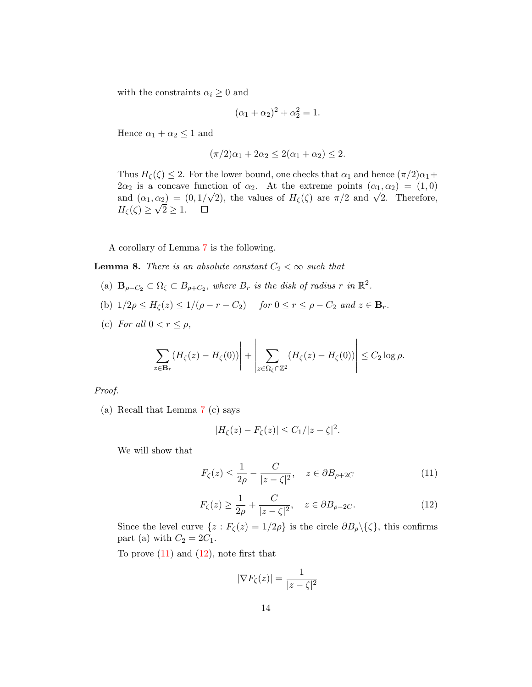with the constraints  $\alpha_i \geq 0$  and

$$
(\alpha_1 + \alpha_2)^2 + \alpha_2^2 = 1.
$$

Hence  $\alpha_1 + \alpha_2 \leq 1$  and

$$
(\pi/2)\alpha_1 + 2\alpha_2 \le 2(\alpha_1 + \alpha_2) \le 2.
$$

Thus  $H_{\zeta}(\zeta) \leq 2$ . For the lower bound, one checks that  $\alpha_1$  and hence  $(\pi/2)\alpha_1 +$  $2\alpha_2$  is a concave function of  $\alpha_2$ . At the extreme points  $(\alpha_1, \alpha_2) = (1, 0)$  $2\alpha_2$  is a concave function of  $\alpha_2$ . At the extreme points  $(\alpha_1, \alpha_2) = (1, 0)$ <br>and  $(\alpha_1, \alpha_2) = (0, 1/\sqrt{2})$ , the values of  $H_\zeta(\zeta)$  are  $\pi/2$  and  $\sqrt{2}$ . Therefore,  $H_{\zeta}(\zeta) \geq \sqrt{2} \geq 1.$ 

A corollary of Lemma [7](#page-12-0) is the following.

<span id="page-13-0"></span>**Lemma 8.** There is an absolute constant  $C_2 < \infty$  such that

- (a)  $\mathbf{B}_{\rho-C_2} \subset \Omega_{\zeta} \subset B_{\rho+C_2}$ , where  $B_r$  is the disk of radius r in  $\mathbb{R}^2$ .
- (b)  $1/2\rho \leq H_{\zeta}(z) \leq 1/(\rho r C_2)$  for  $0 \leq r \leq \rho C_2$  and  $z \in \mathbf{B}_r$ .
- (c) For all  $0 < r \leq \rho$ ,

$$
\left|\sum_{z\in \mathbf{B}_r} (H_{\zeta}(z) - H_{\zeta}(0))\right| + \left|\sum_{z\in \Omega_{\zeta} \cap \mathbb{Z}^2} (H_{\zeta}(z) - H_{\zeta}(0))\right| \leq C_2 \log \rho.
$$

Proof.

(a) Recall that Lemma [7](#page-12-0) (c) says

$$
|H_{\zeta}(z)-F_{\zeta}(z)|\leq C_1/|z-\zeta|^2.
$$

We will show that

<span id="page-13-1"></span>
$$
F_{\zeta}(z) \le \frac{1}{2\rho} - \frac{C}{|z - \zeta|^2}, \quad z \in \partial B_{\rho + 2C}
$$
 (11)

<span id="page-13-2"></span>
$$
F_{\zeta}(z) \ge \frac{1}{2\rho} + \frac{C}{|z - \zeta|^2}, \quad z \in \partial B_{\rho - 2C}.
$$
 (12)

Since the level curve  $\{z : F_{\zeta}(z) = 1/2\rho\}$  is the circle  $\partial B_{\rho} \setminus {\zeta}$ , this confirms part (a) with  $C_2 = 2C_1$ .

To prove  $(11)$  and  $(12)$ , note first that

$$
|\nabla F_{\zeta}(z)| = \frac{1}{|z - \zeta|^2}
$$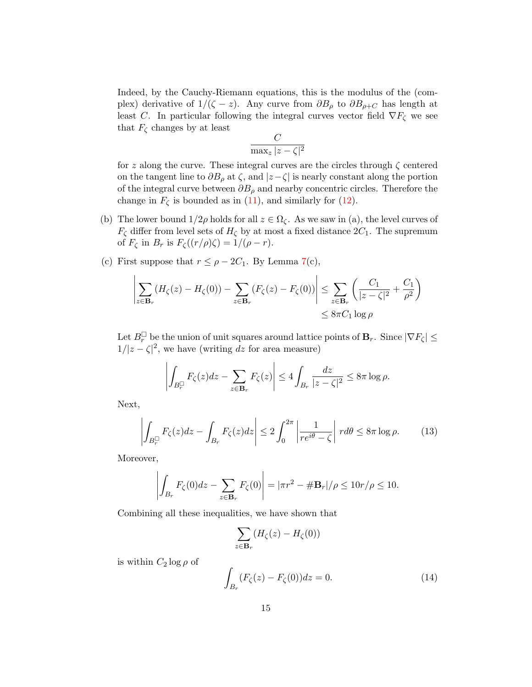Indeed, by the Cauchy-Riemann equations, this is the modulus of the (complex) derivative of  $1/(\zeta - z)$ . Any curve from  $\partial B_{\rho}$  to  $\partial B_{\rho+C}$  has length at least C. In particular following the integral curves vector field  $\nabla F_{\zeta}$  we see that  $F_{\zeta}$  changes by at least

$$
\frac{C}{\max_{z} |z - \zeta|^2}
$$

for z along the curve. These integral curves are the circles through  $\zeta$  centered on the tangent line to  $\partial B_{\rho}$  at  $\zeta$ , and  $|z-\zeta|$  is nearly constant along the portion of the integral curve between  $\partial B_{\rho}$  and nearby concentric circles. Therefore the change in  $F_{\zeta}$  is bounded as in [\(11\)](#page-13-1), and similarly for [\(12\)](#page-13-2).

- (b) The lower bound  $1/2\rho$  holds for all  $z \in \Omega_{\zeta}$ . As we saw in (a), the level curves of  $F_{\zeta}$  differ from level sets of  $H_{\zeta}$  by at most a fixed distance  $2C_1$ . The supremum of  $F_{\zeta}$  in  $B_r$  is  $F_{\zeta}((r/\rho)\zeta) = 1/(\rho - r)$ .
- (c) First suppose that  $r \leq \rho 2C_1$ . By Lemma [7\(](#page-12-0)c),

$$
\left| \sum_{z \in \mathbf{B}_r} (H_\zeta(z) - H_\zeta(0)) - \sum_{z \in \mathbf{B}_r} (F_\zeta(z) - F_\zeta(0)) \right| \leq \sum_{z \in \mathbf{B}_r} \left( \frac{C_1}{|z - \zeta|^2} + \frac{C_1}{\rho^2} \right)
$$
  

$$
\leq 8\pi C_1 \log \rho
$$

Let  $B_r^{\square}$  be the union of unit squares around lattice points of  $B_r$ . Since  $|\nabla F_{\zeta}| \leq$  $1/|z-\zeta|^2$ , we have (writing dz for area measure)

$$
\left| \int_{B_r^{\square}} F_{\zeta}(z) dz - \sum_{z \in \mathbf{B}_r} F_{\zeta}(z) \right| \le 4 \int_{B_r} \frac{dz}{|z - \zeta|^2} \le 8\pi \log \rho.
$$

Next,

<span id="page-14-1"></span>
$$
\left| \int_{B_r^{\Box}} F_{\zeta}(z) dz - \int_{B_r} F_{\zeta}(z) dz \right| \le 2 \int_0^{2\pi} \left| \frac{1}{re^{i\theta} - \zeta} \right| r d\theta \le 8\pi \log \rho. \tag{13}
$$

Moreover,

$$
\left| \int_{B_r} F_{\zeta}(0) dz - \sum_{z \in \mathbf{B}_r} F_{\zeta}(0) \right| = |\pi r^2 - \# \mathbf{B}_r| / \rho \leq 10r / \rho \leq 10.
$$

Combining all these inequalities, we have shown that

$$
\sum_{z \in \mathbf{B}_r} (H_{\zeta}(z) - H_{\zeta}(0))
$$

is within  $C_2 \log \rho$  of

<span id="page-14-0"></span>
$$
\int_{B_r} (F_{\zeta}(z) - F_{\zeta}(0)) dz = 0.
$$
\n(14)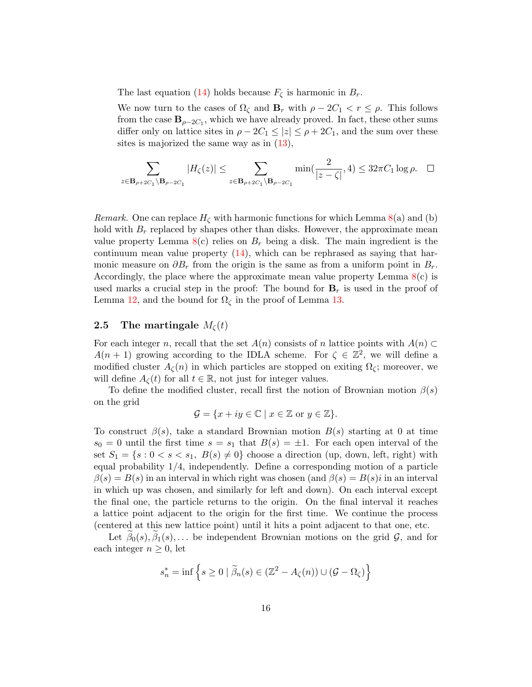The last equation [\(14\)](#page-14-0) holds because  $F_{\zeta}$  is harmonic in  $B_r$ .

We now turn to the cases of  $\Omega_{\zeta}$  and  $\mathbf{B}_r$  with  $\rho - 2C_1 < r \leq \rho$ . This follows from the case  $\mathbf{B}_{\rho-2C_1}$ , which we have already proved. In fact, these other sums differ only on lattice sites in  $\rho - 2C_1 \leq |z| \leq \rho + 2C_1$ , and the sum over these sites is majorized the same way as in [\(13\)](#page-14-1),

$$
\sum_{z \in \mathbf{B}_{\rho+2C_1} \backslash \mathbf{B}_{\rho-2C_1}} |H_{\zeta}(z)| \leq \sum_{z \in \mathbf{B}_{\rho+2C_1} \backslash \mathbf{B}_{\rho-2C_1}} \min(\frac{2}{|z-\zeta|}, 4) \leq 32\pi C_1 \log \rho. \quad \Box
$$

*Remark.* One can replace  $H_{\zeta}$  with harmonic functions for which Lemma  $8(a)$  $8(a)$  and (b) hold with  $B_r$  replaced by shapes other than disks. However, the approximate mean value property Lemma  $8(c)$  $8(c)$  relies on  $B_r$  being a disk. The main ingredient is the continuum mean value property [\(14\)](#page-14-0), which can be rephrased as saying that harmonic measure on  $\partial B_r$  from the origin is the same as from a uniform point in  $B_r$ . Accordingly, the place where the approximate mean value property Lemma [8\(](#page-13-0)c) is used marks a crucial step in the proof: The bound for  $B<sub>r</sub>$  is used in the proof of Lemma [12,](#page-20-1) and the bound for  $\Omega_{\zeta}$  in the proof of Lemma [13.](#page-23-1)

### <span id="page-15-0"></span>**2.5** The martingale  $M_{\zeta}(t)$

For each integer n, recall that the set  $A(n)$  consists of n lattice points with  $A(n) \subset$  $A(n + 1)$  growing according to the IDLA scheme. For  $\zeta \in \mathbb{Z}^2$ , we will define a modified cluster  $A_{\zeta}(n)$  in which particles are stopped on exiting  $\Omega_{\zeta}$ ; moreover, we will define  $A_{\zeta}(t)$  for all  $t \in \mathbb{R}$ , not just for integer values.

To define the modified cluster, recall first the notion of Brownian motion  $\beta(s)$ on the grid

$$
\mathcal{G} = \{x + iy \in \mathbb{C} \mid x \in \mathbb{Z} \text{ or } y \in \mathbb{Z}\}.
$$

To construct  $\beta(s)$ , take a standard Brownian motion  $B(s)$  starting at 0 at time  $s_0 = 0$  until the first time  $s = s_1$  that  $B(s) = \pm 1$ . For each open interval of the set  $S_1 = \{s : 0 < s < s_1, B(s) \neq 0\}$  choose a direction (up, down, left, right) with equal probability 1/4, independently. Define a corresponding motion of a particle  $\beta(s) = B(s)$  in an interval in which right was chosen (and  $\beta(s) = B(s)i$  in an interval in which up was chosen, and similarly for left and down). On each interval except the final one, the particle returns to the origin. On the final interval it reaches a lattice point adjacent to the origin for the first time. We continue the process (centered at this new lattice point) until it hits a point adjacent to that one, etc.

Let  $\beta_0(s), \beta_1(s), \ldots$  be independent Brownian motions on the grid  $\mathcal{G}$ , and for each integer  $n \geq 0$ , let

$$
s_n^* = \inf \left\{ s \ge 0 \mid \widetilde{\beta}_n(s) \in (\mathbb{Z}^2 - A_{\zeta}(n)) \cup (\mathcal{G} - \Omega_{\zeta}) \right\}
$$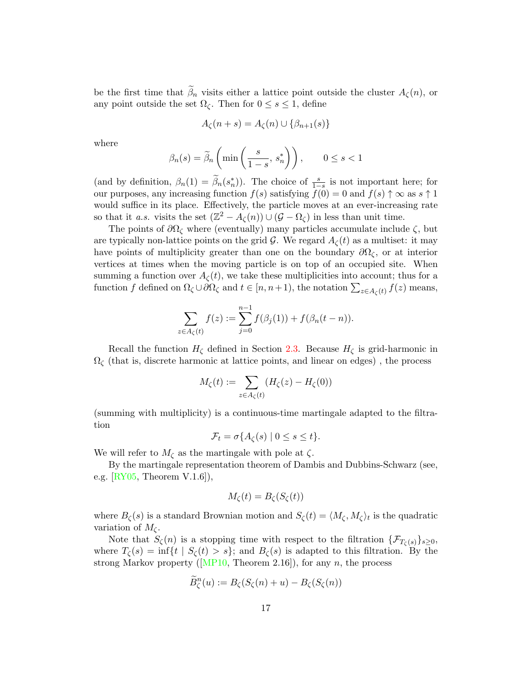be the first time that  $\beta_n$  visits either a lattice point outside the cluster  $A_{\zeta}(n)$ , or any point outside the set  $\Omega_{\zeta}$ . Then for  $0 \leq s \leq 1$ , define

$$
A_{\zeta}(n+s) = A_{\zeta}(n) \cup \{\beta_{n+1}(s)\}
$$

where

$$
\beta_n(s) = \widetilde{\beta}_n \left( \min\left( \frac{s}{1-s}, \, s_n^* \right) \right), \qquad 0 \le s < 1
$$

(and by definition,  $\beta_n(1) = \widetilde{\beta}_n(s_n^*)$ ). The choice of  $\frac{s}{1-s}$  is not important here; for our purposes, any increasing function  $f(s)$  satisfying  $f(0) = 0$  and  $f(s) \uparrow \infty$  as  $s \uparrow 1$ would suffice in its place. Effectively, the particle moves at an ever-increasing rate so that it *a.s.* visits the set  $(\mathbb{Z}^2 - A_{\zeta}(n)) \cup (\mathcal{G} - \Omega_{\zeta})$  in less than unit time.

The points of  $\partial\Omega_{\zeta}$  where (eventually) many particles accumulate include  $\zeta$ , but are typically non-lattice points on the grid G. We regard  $A_{\zeta}(t)$  as a multiset: it may have points of multiplicity greater than one on the boundary  $\partial\Omega_{\zeta}$ , or at interior vertices at times when the moving particle is on top of an occupied site. When summing a function over  $A_{\zeta}(t)$ , we take these multiplicities into account; thus for a function f defined on  $\Omega_{\zeta} \cup \partial \Omega_{\zeta}$  and  $t \in [n, n+1)$ , the notation  $\sum_{z \in A_{\zeta}(t)} f(z)$  means,

$$
\sum_{z \in A_{\zeta}(t)} f(z) := \sum_{j=0}^{n-1} f(\beta_j(1)) + f(\beta_n(t - n)).
$$

Recall the function  $H<sub>C</sub>$  defined in Section [2.3.](#page-8-0) Because  $H<sub>C</sub>$  is grid-harmonic in  $\Omega_{\zeta}$  (that is, discrete harmonic at lattice points, and linear on edges), the process

$$
M_{\zeta}(t) := \sum_{z \in A_{\zeta}(t)} (H_{\zeta}(z) - H_{\zeta}(0))
$$

(summing with multiplicity) is a continuous-time martingale adapted to the filtration

$$
\mathcal{F}_t = \sigma\{A_\zeta(s) \mid 0 \le s \le t\}.
$$

We will refer to  $M_{\zeta}$  as the martingale with pole at  $\zeta$ .

By the martingale representation theorem of Dambis and Dubbins-Schwarz (see, e.g. [\[RY05,](#page-37-2) Theorem V.1.6]),

$$
M_{\zeta}(t) = B_{\zeta}(S_{\zeta}(t))
$$

where  $B_{\zeta}(s)$  is a standard Brownian motion and  $S_{\zeta}(t) = \langle M_{\zeta}, M_{\zeta} \rangle_t$  is the quadratic variation of  $M_{\zeta}$ .

Note that  $S_{\zeta}(n)$  is a stopping time with respect to the filtration  $\{\mathcal{F}_{T_{\zeta}(s)}\}_{s\geq 0}$ , where  $T_{\zeta}(s) = \inf\{t \mid S_{\zeta}(t) > s\}$ ; and  $B_{\zeta}(s)$  is adapted to this filtration. By the strong Markov property ([\[MP10,](#page-37-3) Theorem 2.16]), for any n, the process

$$
\widetilde{B}_{\zeta}^n(u) := B_{\zeta}(S_{\zeta}(n) + u) - B_{\zeta}(S_{\zeta}(n))
$$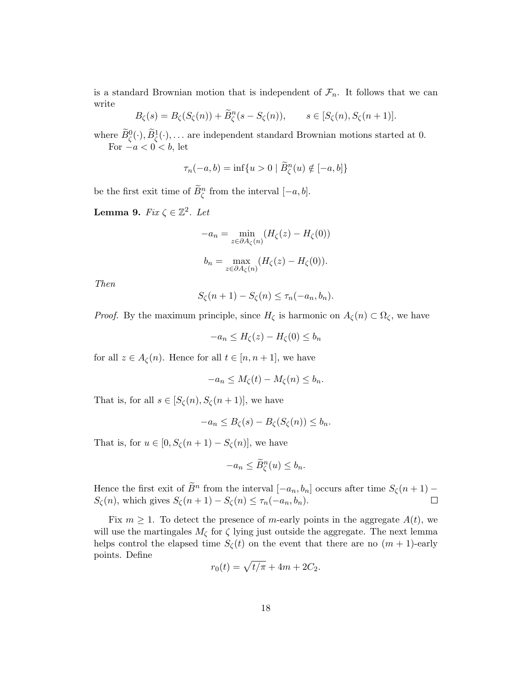is a standard Brownian motion that is independent of  $\mathcal{F}_n$ . It follows that we can write

$$
B_{\zeta}(s) = B_{\zeta}(S_{\zeta}(n)) + \widetilde{B}_{\zeta}^{n}(s - S_{\zeta}(n)), \qquad s \in [S_{\zeta}(n), S_{\zeta}(n+1)].
$$

where  $\widetilde{B}^0_{\zeta}(\cdot), \widetilde{B}^1_{\zeta}(\cdot), \ldots$  are independent standard Brownian motions started at 0. For  $-a < 0 < b$ , let

$$
\tau_n(-a,b) = \inf\{u > 0 \mid \widetilde{B}_{\zeta}^n(u) \notin [-a,b]\}
$$

be the first exit time of  $\widetilde{B}_{\zeta}^{n}$  from the interval  $[-a, b]$ .

<span id="page-17-0"></span>Lemma 9.  $Fix \zeta \in \mathbb{Z}^2$ . Let

$$
-a_n = \min_{z \in \partial A_{\zeta}(n)} (H_{\zeta}(z) - H_{\zeta}(0))
$$
  

$$
b_n = \max_{z \in \partial A_{\zeta}(n)} (H_{\zeta}(z) - H_{\zeta}(0)).
$$

Then

$$
S_{\zeta}(n+1) - S_{\zeta}(n) \leq \tau_n(-a_n, b_n).
$$

*Proof.* By the maximum principle, since  $H_{\zeta}$  is harmonic on  $A_{\zeta}(n) \subset \Omega_{\zeta}$ , we have

 $-a_n \leq H_{\zeta}(z) - H_{\zeta}(0) \leq b_n$ 

for all  $z \in A_{\zeta}(n)$ . Hence for all  $t \in [n, n+1]$ , we have

$$
-a_n \le M_\zeta(t) - M_\zeta(n) \le b_n.
$$

That is, for all  $s \in [S_{\zeta}(n), S_{\zeta}(n+1)]$ , we have

$$
-a_n \leq B_{\zeta}(s) - B_{\zeta}(S_{\zeta}(n)) \leq b_n.
$$

That is, for  $u \in [0, S_{\zeta}(n+1) - S_{\zeta}(n)]$ , we have

$$
-a_n \le \widetilde{B}_{\zeta}^n(u) \le b_n.
$$

Hence the first exit of  $\tilde{B}^n$  from the interval  $[-a_n, b_n]$  occurs after time  $S_\zeta(n+1) S_{\zeta}(n)$ , which gives  $S_{\zeta}(n+1) - S_{\zeta}(n) \leq \tau_n(-a_n, b_n)$ .

Fix  $m \geq 1$ . To detect the presence of m-early points in the aggregate  $A(t)$ , we will use the martingales  $M_{\zeta}$  for  $\zeta$  lying just outside the aggregate. The next lemma helps control the elapsed time  $S_{\zeta}(t)$  on the event that there are no  $(m + 1)$ -early points. Define

$$
r_0(t) = \sqrt{t/\pi} + 4m + 2C_2.
$$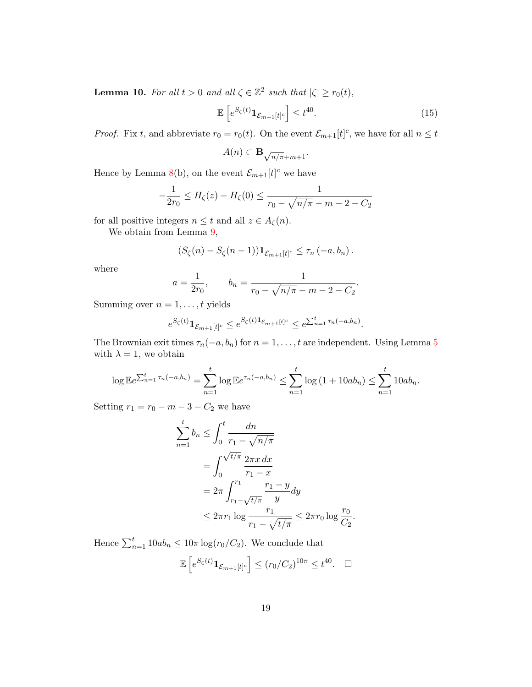<span id="page-18-0"></span>**Lemma 10.** For all  $t > 0$  and all  $\zeta \in \mathbb{Z}^2$  such that  $|\zeta| \ge r_0(t)$ ,

$$
\mathbb{E}\left[e^{S_{\zeta}(t)}\mathbf{1}_{\mathcal{E}_{m+1}[t]^{c}}\right] \leq t^{40}.\tag{15}
$$

.

*Proof.* Fix t, and abbreviate  $r_0 = r_0(t)$ . On the event  $\mathcal{E}_{m+1}[t]^c$ , we have for all  $n \leq t$ 

$$
A(n)\subset\mathbf B_{\sqrt{n/\pi}+m+1}.
$$

Hence by Lemma [8\(](#page-13-0)b), on the event  $\mathcal{E}_{m+1}[t]$ <sup>c</sup> we have

$$
-\frac{1}{2r_0} \le H_\zeta(z) - H_\zeta(0) \le \frac{1}{r_0 - \sqrt{n/\pi} - m - 2 - C_2}
$$

for all positive integers  $n \leq t$  and all  $z \in A_{\zeta}(n)$ .

We obtain from Lemma  $9$ ,

$$
(S_{\zeta}(n)-S_{\zeta}(n-1))\mathbf{1}_{\mathcal{E}_{m+1}[t]^c}\leq\tau_n(-a,b_n).
$$

where

$$
a = \frac{1}{2r_0}
$$
,  $b_n = \frac{1}{r_0 - \sqrt{n/\pi} - m - 2 - C_2}$ 

Summing over  $n = 1, \ldots, t$  yields

$$
e^{S_{\zeta}(t)} \mathbf{1}_{\mathcal{E}_{m+1}[t]^c} \leq e^{S_{\zeta}(t)\mathbf{1}_{\mathcal{E}_{m+1}[t]^c}} \leq e^{\sum_{n=1}^t \tau_n(-a,b_n)}.
$$

The Brownian exit times  $\tau_n(-a, b_n)$  for  $n = 1, \ldots, t$  are independent. Using Lemma [5](#page-8-2) with  $\lambda = 1$ , we obtain

$$
\log \mathbb{E}e^{\sum_{n=1}^t \tau_n(-a,b_n)} = \sum_{n=1}^t \log \mathbb{E}e^{\tau_n(-a,b_n)} \leq \sum_{n=1}^t \log (1+10ab_n) \leq \sum_{n=1}^t 10ab_n.
$$

Setting  $r_1 = r_0 - m - 3 - C_2$  we have

$$
\sum_{n=1}^{t} b_n \le \int_0^t \frac{dn}{r_1 - \sqrt{n/\pi}}
$$
  
= 
$$
\int_0^{\sqrt{t/\pi}} \frac{2\pi x \, dx}{r_1 - x}
$$
  
= 
$$
2\pi \int_{r_1 - \sqrt{t/\pi}}^{r_1} \frac{r_1 - y}{y} dy
$$
  

$$
\le 2\pi r_1 \log \frac{r_1}{r_1 - \sqrt{t/\pi}} \le 2\pi r_0 \log \frac{r_0}{C_2}.
$$

Hence  $\sum_{n=1}^{t} 10ab_n \leq 10\pi \log(r_0/C_2)$ . We conclude that

$$
\mathbb{E}\left[e^{S_{\zeta}(t)}\mathbf{1}_{\mathcal{E}_{m+1}[t]^{c}}\right] \leq (r_{0}/C_{2})^{10\pi} \leq t^{40}. \quad \Box
$$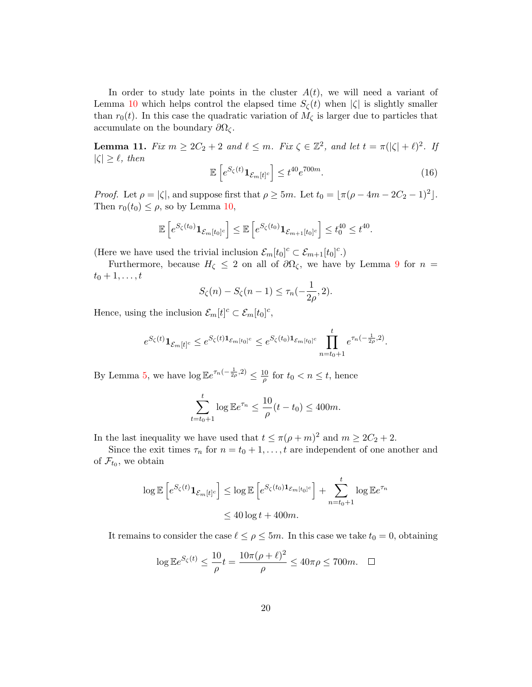In order to study late points in the cluster  $A(t)$ , we will need a variant of Lemma [10](#page-18-0) which helps control the elapsed time  $S_{\zeta}(t)$  when  $|\zeta|$  is slightly smaller than  $r_0(t)$ . In this case the quadratic variation of  $M_{\zeta}$  is larger due to particles that accumulate on the boundary  $\partial\Omega_{\zeta}$ .

<span id="page-19-0"></span>**Lemma 11.** Fix  $m \geq 2C_2 + 2$  and  $\ell \leq m$ . Fix  $\zeta \in \mathbb{Z}^2$ , and let  $t = \pi(|\zeta| + \ell)^2$ . If  $|\zeta| \geq \ell$ , then

$$
\mathbb{E}\left[e^{S_{\zeta}(t)}\mathbf{1}_{\mathcal{E}_m[t]^c}\right] \le t^{40}e^{700m}.\tag{16}
$$

*Proof.* Let  $\rho = |\zeta|$ , and suppose first that  $\rho \ge 5m$ . Let  $t_0 = [\pi(\rho - 4m - 2C_2 - 1)^2]$ . Then  $r_0(t_0) \leq \rho$ , so by Lemma [10,](#page-18-0)

$$
\mathbb{E}\left[e^{S_{\zeta}(t_0)}\mathbf{1}_{\mathcal{E}_m[t_0]^c}\right] \leq \mathbb{E}\left[e^{S_{\zeta}(t_0)}\mathbf{1}_{\mathcal{E}_{m+1}[t_0]^c}\right] \leq t_0^{40} \leq t^{40}.
$$

(Here we have used the trivial inclusion  $\mathcal{E}_m[t_0]^c \subset \mathcal{E}_{m+1}[t_0]^c$ .)

Furthermore, because  $H_{\zeta} \leq 2$  on all of  $\partial \Omega_{\zeta}$ , we have by Lemma [9](#page-17-0) for  $n =$  $t_0+1,\ldots,t$ 

$$
S_{\zeta}(n) - S_{\zeta}(n-1) \le \tau_n(-\frac{1}{2\rho}, 2).
$$

Hence, using the inclusion  $\mathcal{E}_m[t]^c \subset \mathcal{E}_m[t_0]^c$ ,

$$
e^{S_{\zeta}(t)} \mathbf{1}_{\mathcal{E}_m[t]^c} \leq e^{S_{\zeta}(t) \mathbf{1}_{\mathcal{E}_m[t_0]^c}} \leq e^{S_{\zeta}(t_0) \mathbf{1}_{\mathcal{E}_m[t_0]^c}} \prod_{n=t_0+1}^t e^{\tau_n(-\frac{1}{2\rho}, 2)}.
$$

By Lemma [5,](#page-8-2) we have  $\log \mathbb{E}e^{\tau_n(-\frac{1}{2\rho},2)} \leq \frac{10}{\rho}$  $\frac{d0}{\rho}$  for  $t_0 < n \leq t$ , hence

$$
\sum_{t=t_0+1}^t \log \mathbb{E} e^{\tau_n} \le \frac{10}{\rho} (t - t_0) \le 400m.
$$

In the last inequality we have used that  $t \le \pi(\rho+m)^2$  and  $m \ge 2C_2+2$ .

Since the exit times  $\tau_n$  for  $n = t_0 + 1, \ldots, t$  are independent of one another and of  $\mathcal{F}_{t_0}$ , we obtain

$$
\log \mathbb{E}\left[e^{S_{\zeta}(t)}\mathbf{1}_{\mathcal{E}_m[t]^c}\right] \le \log \mathbb{E}\left[e^{S_{\zeta}(t_0)\mathbf{1}_{\mathcal{E}_m[t_0]^c}}\right] + \sum_{n=t_0+1}^t \log \mathbb{E}e^{\tau_n}
$$
  

$$
\le 40 \log t + 400m.
$$

It remains to consider the case  $\ell \leq \rho \leq 5m$ . In this case we take  $t_0 = 0$ , obtaining

$$
\log \mathbb{E}e^{S_{\zeta}(t)} \le \frac{10}{\rho}t = \frac{10\pi(\rho + \ell)^2}{\rho} \le 40\pi\rho \le 700m. \quad \Box
$$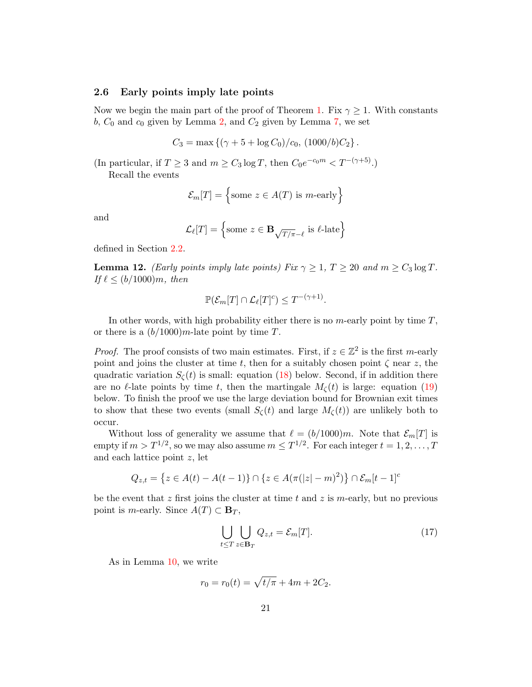### <span id="page-20-0"></span>2.6 Early points imply late points

Now we begin the main part of the proof of Theorem [1.](#page-2-1) Fix  $\gamma \geq 1$ . With constants  $b, C_0$  and  $c_0$  given by Lemma [2,](#page-5-1) and  $C_2$  given by Lemma [7,](#page-12-0) we set

$$
C_3 = \max \left\{ (\gamma + 5 + \log C_0)/c_0, (1000/b)C_2 \right\}.
$$

(In particular, if  $T \geq 3$  and  $m \geq C_3 \log T$ , then  $C_0 e^{-c_0 m} < T^{-(\gamma+5)}$ .)

Recall the events

$$
\mathcal{E}_m[T] = \left\{ \text{some } z \in A(T) \text{ is } m\text{-early} \right\}
$$

and

$$
\mathcal{L}_{\ell}[T] = \left\{ \text{some } z \in \mathbf{B}_{\sqrt{T/\pi} - \ell} \text{ is } \ell\text{-late} \right\}
$$

defined in Section [2.2.](#page-6-0)

<span id="page-20-1"></span>**Lemma 12.** (Early points imply late points) Fix  $\gamma \geq 1$ ,  $T \geq 20$  and  $m \geq C_3 \log T$ . If  $\ell \le (b/1000)m$ , then

$$
\mathbb{P}(\mathcal{E}_m[T] \cap \mathcal{L}_{\ell}[T]^c) \leq T^{-(\gamma+1)}.
$$

In other words, with high probability either there is no  $m$ -early point by time  $T$ , or there is a  $(b/1000)$ m-late point by time T.

*Proof.* The proof consists of two main estimates. First, if  $z \in \mathbb{Z}^2$  is the first m-early point and joins the cluster at time t, then for a suitably chosen point  $\zeta$  near z, the quadratic variation  $S_{\zeta}(t)$  is small: equation [\(18\)](#page-21-0) below. Second, if in addition there are no  $\ell$ -late points by time t, then the martingale  $M_{\zeta}(t)$  is large: equation [\(19\)](#page-21-1) below. To finish the proof we use the large deviation bound for Brownian exit times to show that these two events (small  $S_{\zeta}(t)$  and large  $M_{\zeta}(t)$ ) are unlikely both to occur.

Without loss of generality we assume that  $\ell = (b/1000)m$ . Note that  $\mathcal{E}_m[T]$  is empty if  $m > T^{1/2}$ , so we may also assume  $m \leq T^{1/2}$ . For each integer  $t = 1, 2, ..., T$ and each lattice point z, let

$$
Q_{z,t} = \{ z \in A(t) - A(t-1) \} \cap \{ z \in A(\pi(|z| - m)^2) \} \cap \mathcal{E}_m[t-1]^c
$$

be the event that z first joins the cluster at time t and z is m-early, but no previous point is *m*-early. Since  $A(T) \subset \mathbf{B}_T$ ,

$$
\bigcup_{t \leq T} \bigcup_{z \in \mathbf{B}_T} Q_{z,t} = \mathcal{E}_m[T]. \tag{17}
$$

As in Lemma [10,](#page-18-0) we write

$$
r_0 = r_0(t) = \sqrt{t/\pi} + 4m + 2C_2.
$$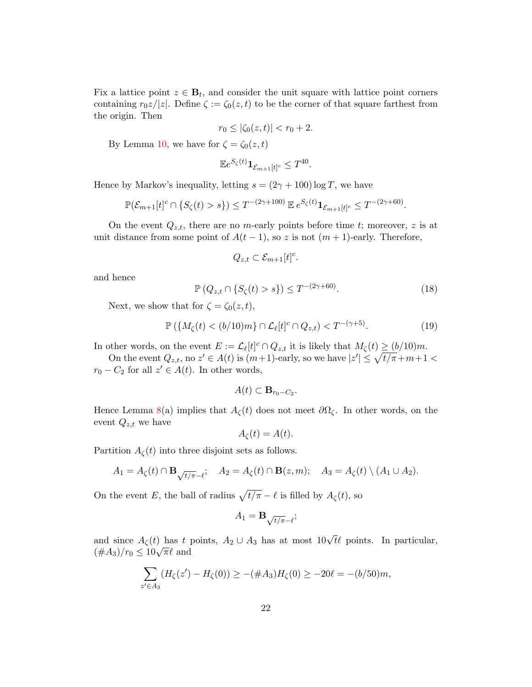Fix a lattice point  $z \in \mathbf{B}_t$ , and consider the unit square with lattice point corners containing  $r_0z/|z|$ . Define  $\zeta := \zeta_0(z,t)$  to be the corner of that square farthest from the origin. Then

$$
r_0 \le |\zeta_0(z, t)| < r_0 + 2.
$$

By Lemma [10,](#page-18-0) we have for  $\zeta = \zeta_0(z, t)$ 

$$
\mathbb{E}e^{S_{\zeta}(t)}\mathbf{1}_{\mathcal{E}_{m+1}[t]^{c}} \leq T^{40}.
$$

Hence by Markov's inequality, letting  $s = (2\gamma + 100) \log T$ , we have

$$
\mathbb{P}(\mathcal{E}_{m+1}[t]^c \cap \{S_{\zeta}(t) > s\}) \leq T^{-(2\gamma+100)} \mathbb{E} e^{S_{\zeta}(t)} \mathbf{1}_{\mathcal{E}_{m+1}[t]^c} \leq T^{-(2\gamma+60)}.
$$

On the event  $Q_{z,t}$ , there are no m-early points before time t; moreover, z is at unit distance from some point of  $A(t-1)$ , so z is not  $(m+1)$ -early. Therefore,

$$
Q_{z,t} \subset \mathcal{E}_{m+1}[t]^c.
$$

and hence

<span id="page-21-0"></span>
$$
\mathbb{P}\left(Q_{z,t} \cap \{S_{\zeta}(t) > s\}\right) \le T^{-(2\gamma + 60)}.\tag{18}
$$

Next, we show that for  $\zeta = \zeta_0(z, t)$ ,

<span id="page-21-1"></span>
$$
\mathbb{P}\left(\{M_{\zeta}(t) < (b/10)m\} \cap \mathcal{L}_{\ell}[t]^c \cap Q_{z,t}\right) < T^{-(\gamma+5)}.\tag{19}
$$

In other words, on the event  $E := \mathcal{L}_{\ell}[t]^c \cap Q_{z,t}$  it is likely that  $M_{\zeta}(t) \ge (b/10)m$ .

On the event  $Q_{z,t}$ , no  $z' \in A(t)$  is  $(m+1)$ -early, so we have  $|z'| \leq \sqrt{t/\pi} + m+1 <$  $r_0 - C_2$  for all  $z' \in A(t)$ . In other words,

$$
A(t) \subset \mathbf{B}_{r_0 - C_2}.
$$

Hence Lemma [8\(](#page-13-0)a) implies that  $A_{\zeta}(t)$  does not meet  $\partial \Omega_{\zeta}$ . In other words, on the event  $Q_{z,t}$  we have

$$
A_{\zeta}(t) = A(t).
$$

Partition  $A_{\zeta}(t)$  into three disjoint sets as follows.

$$
A_1 = A_{\zeta}(t) \cap \mathbf{B}_{\sqrt{t/\pi}-\ell}; \quad A_2 = A_{\zeta}(t) \cap \mathbf{B}(z,m); \quad A_3 = A_{\zeta}(t) \setminus (A_1 \cup A_2).
$$

On the event E, the ball of radius  $\sqrt{t/\pi} - \ell$  is filled by  $A_{\zeta}(t)$ , so

$$
A_1 = \mathbf{B}_{\sqrt{t/\pi} - \ell};
$$

and since  $A_{\zeta}(t)$  has t points,  $A_2 \cup A_3$  has at most  $10\sqrt{t\ell}$  points. In particular, and since  $A_{\zeta}(t)$  has  $t$  <br> $(\#A_3)/r_0 \leq 10\sqrt{\pi}\ell$  and

$$
\sum_{z' \in A_3} (H_\zeta(z') - H_\zeta(0)) \ge -( \#A_3) H_\zeta(0) \ge -20\ell = -(b/50)m,
$$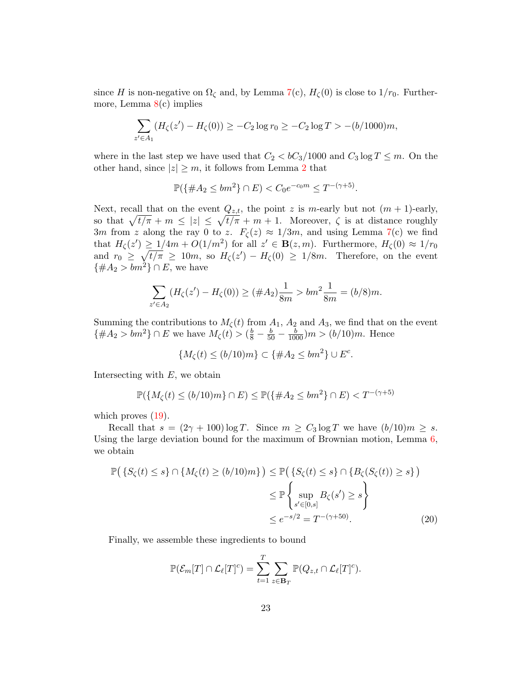since H is non-negative on  $\Omega_{\zeta}$  and, by Lemma  $7(c)$  $7(c)$ ,  $H_{\zeta}(0)$  is close to  $1/r_0$ . Furthermore, Lemma  $8(c)$  $8(c)$  implies

$$
\sum_{z' \in A_1} (H_{\zeta}(z') - H_{\zeta}(0)) \ge -C_2 \log r_0 \ge -C_2 \log T > -(b/1000)m,
$$

where in the last step we have used that  $C_2 < bC_3/1000$  and  $C_3 \log T \le m$ . On the other hand, since  $|z| \geq m$ , it follows from Lemma [2](#page-5-1) that

$$
\mathbb{P}(\{\#A_2 \le bm^2\} \cap E) < C_0 e^{-c_0 m} \le T^{-(\gamma+5)}.
$$

Next, recall that on the event  $Q_{z,t}$ , the point z is m-early but not  $(m + 1)$ -early, so that  $\sqrt{t/\pi} + m \leq |z| \leq \sqrt{t/\pi} + m + 1$ . Moreover,  $\zeta$  is at distance roughly 3m from z along the ray 0 to z.  $F_{\zeta}(z) \approx 1/3m$ , and using Lemma [7\(](#page-12-0)c) we find that  $H_{\zeta}(z') \geq 1/4m + O(1/m^2)$  for all  $z' \in \mathbf{B}(z,m)$ . Furthermore,  $H_{\zeta}(0) \approx 1/r_0$ and  $r_0 \geq \sqrt{t/\pi} \geq 10m$ , so  $H_{\zeta}(z') - H_{\zeta}(0) \geq 1/8m$ . Therefore, on the event  $\{\#A_2 > bm^2\} \cap E$ , we have

$$
\sum_{z' \in A_2} (H_\zeta(z') - H_\zeta(0)) \ge (\#A_2) \frac{1}{8m} > bm^2 \frac{1}{8m} = (b/8)m.
$$

Summing the contributions to  $M_{\zeta}(t)$  from  $A_1$ ,  $A_2$  and  $A_3$ , we find that on the event  $\{\#A_2 > bm^2\} \cap E$  we have  $M_\zeta(t) > (\frac{b}{8} - \frac{b}{50} - \frac{b}{1000})m > (b/10)m$ . Hence

$$
\{M_{\zeta}(t) \le (b/10)m\} \subset \{\#A_2 \le bm^2\} \cup E^c.
$$

Intersecting with  $E$ , we obtain

$$
\mathbb{P}(\{M_{\zeta}(t) \le (b/10)m\} \cap E) \le \mathbb{P}(\{\#A_2 \le bm^2\} \cap E) < T^{-(\gamma+5)}
$$

which proves  $(19)$ .

Recall that  $s = (2\gamma + 100) \log T$ . Since  $m \geq C_3 \log T$  we have  $(b/10)m \geq s$ . Using the large deviation bound for the maximum of Brownian motion, Lemma [6,](#page-9-2) we obtain

$$
\mathbb{P}\left(\left\{S_{\zeta}(t) \leq s\right\} \cap \left\{M_{\zeta}(t) \geq (b/10)m\right\}\right) \leq \mathbb{P}\left(\left\{S_{\zeta}(t) \leq s\right\} \cap \left\{B_{\zeta}(S_{\zeta}(t)) \geq s\right\}\right) \leq \mathbb{P}\left\{\sup_{s' \in [0,s]} B_{\zeta}(s') \geq s\right\} \leq e^{-s/2} = T^{-(\gamma+50)}.\tag{20}
$$

Finally, we assemble these ingredients to bound

<span id="page-22-0"></span>
$$
\mathbb{P}(\mathcal{E}_m[T] \cap \mathcal{L}_{\ell}[T]^c) = \sum_{t=1}^T \sum_{z \in \mathbf{B}_T} \mathbb{P}(Q_{z,t} \cap \mathcal{L}_{\ell}[T]^c).
$$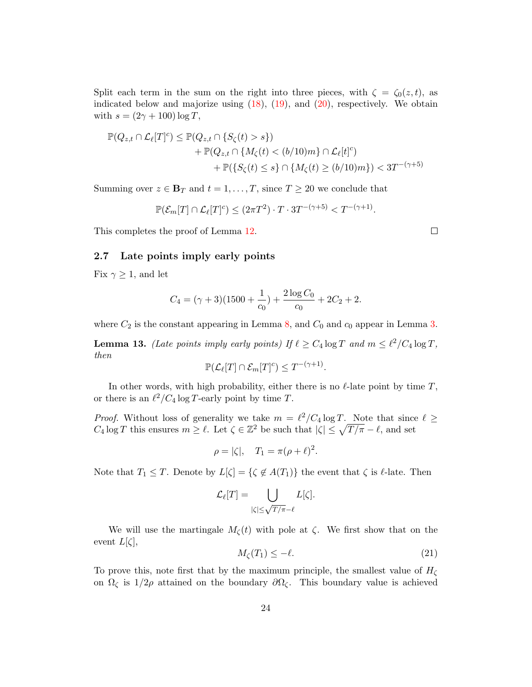Split each term in the sum on the right into three pieces, with  $\zeta = \zeta_0(z, t)$ , as indicated below and majorize using  $(18)$ ,  $(19)$ , and  $(20)$ , respectively. We obtain with  $s = (2\gamma + 100) \log T$ ,

$$
\mathbb{P}(Q_{z,t} \cap \mathcal{L}_{\ell}[T]^c) \leq \mathbb{P}(Q_{z,t} \cap \{S_{\zeta}(t) > s\})
$$
  
+ 
$$
\mathbb{P}(Q_{z,t} \cap \{M_{\zeta}(t) < (b/10)m\} \cap \mathcal{L}_{\ell}[t]^c)
$$
  
+ 
$$
\mathbb{P}(\{S_{\zeta}(t) \leq s\} \cap \{M_{\zeta}(t) \geq (b/10)m\}) < 3T^{-(\gamma+5)}
$$

Summing over  $z \in \mathbf{B}_T$  and  $t = 1, \ldots, T$ , since  $T \geq 20$  we conclude that

 $\mathbb{P}(\mathcal{E}_m[T] \cap \mathcal{L}_\ell[T]^c) \leq (2\pi T^2) \cdot T \cdot 3T^{-(\gamma+5)} < T^{-(\gamma+1)}.$ 

This completes the proof of Lemma [12.](#page-20-1)

### <span id="page-23-0"></span>2.7 Late points imply early points

Fix  $\gamma \geq 1$ , and let

$$
C_4 = (\gamma + 3)(1500 + \frac{1}{c_0}) + \frac{2 \log C_0}{c_0} + 2C_2 + 2.
$$

where  $C_2$  is the constant appearing in Lemma [8,](#page-13-0) and  $C_0$  and  $c_0$  appear in Lemma [3.](#page-7-0)

<span id="page-23-1"></span>**Lemma 13.** (Late points imply early points) If  $\ell \geq C_4 \log T$  and  $m \leq \ell^2 / C_4 \log T$ , then

$$
\mathbb{P}(\mathcal{L}_{\ell}[T] \cap \mathcal{E}_m[T]^c) \leq T^{-(\gamma+1)}.
$$

In other words, with high probability, either there is no  $\ell$ -late point by time T, or there is an  $\ell^2/C_4 \log T$ -early point by time T.

*Proof.* Without loss of generality we take  $m = \ell^2/C_4 \log T$ . Note that since  $\ell \geq$  $C_4 \log T$  this ensures  $m \geq \ell$ . Let  $\zeta \in \mathbb{Z}^2$  be such that  $|\zeta| \leq \sqrt{T/\pi} - \ell$ , and set

$$
\rho = |\zeta|, \quad T_1 = \pi(\rho + \ell)^2.
$$

Note that  $T_1 \leq T$ . Denote by  $L[\zeta] = {\zeta \notin A(T_1)}$  the event that  $\zeta$  is  $\ell$ -late. Then

$$
\mathcal{L}_\ell[T] = \bigcup_{|\zeta| \leq \sqrt{T/\pi} - \ell} L[\zeta].
$$

We will use the martingale  $M_{\zeta}(t)$  with pole at  $\zeta$ . We first show that on the event  $L[\zeta],$ 

<span id="page-23-2"></span>
$$
M_{\zeta}(T_1) \le -\ell. \tag{21}
$$

To prove this, note first that by the maximum principle, the smallest value of  $H_{\zeta}$ on  $\Omega_{\zeta}$  is 1/2ρ attained on the boundary  $\partial \Omega_{\zeta}$ . This boundary value is achieved

 $\Box$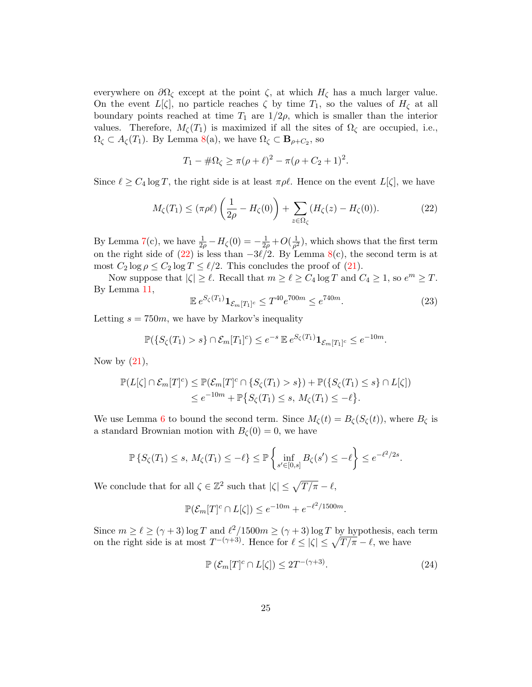everywhere on  $\partial\Omega_{\zeta}$  except at the point  $\zeta$ , at which  $H_{\zeta}$  has a much larger value. On the event  $L[\zeta]$ , no particle reaches  $\zeta$  by time  $T_1$ , so the values of  $H_{\zeta}$  at all boundary points reached at time  $T_1$  are  $1/2\rho$ , which is smaller than the interior values. Therefore,  $M_{\zeta}(T_1)$  is maximized if all the sites of  $\Omega_{\zeta}$  are occupied, i.e.,  $\Omega_{\zeta} \subset A_{\zeta}(T_1)$ . By Lemma [8\(](#page-13-0)a), we have  $\Omega_{\zeta} \subset \mathbf{B}_{\rho+C_2}$ , so

$$
T_1 - \#\Omega_{\zeta} \ge \pi(\rho + \ell)^2 - \pi(\rho + C_2 + 1)^2.
$$

Since  $\ell \ge C_4 \log T$ , the right side is at least  $\pi \rho \ell$ . Hence on the event  $L[\zeta]$ , we have

<span id="page-24-0"></span>
$$
M_{\zeta}(T_1) \leq (\pi \rho \ell) \left(\frac{1}{2\rho} - H_{\zeta}(0)\right) + \sum_{z \in \Omega_{\zeta}} (H_{\zeta}(z) - H_{\zeta}(0)). \tag{22}
$$

By Lemma [7\(](#page-12-0)c), we have  $\frac{1}{2\rho} - H_{\zeta}(0) = -\frac{1}{2\rho} + O(\frac{1}{\rho^2})$  $\frac{1}{\rho^2}$ , which shows that the first term on the right side of [\(22\)](#page-24-0) is less than  $-3\ell/2$ . By Lemma [8\(](#page-13-0)c), the second term is at most  $C_2 \log \rho \leq C_2 \log T \leq \ell/2$ . This concludes the proof of [\(21\)](#page-23-2).

Now suppose that  $|\zeta| \ge \ell$ . Recall that  $m \ge \ell \ge C_4 \log T$  and  $C_4 \ge 1$ , so  $e^m \ge T$ . By Lemma [11,](#page-19-0)

$$
\mathbb{E} \, e^{S_{\zeta}(T_1)} \mathbf{1}_{\mathcal{E}_m[T_1]^c} \le T^{40} e^{700m} \le e^{740m}.\tag{23}
$$

Letting  $s = 750m$ , we have by Markov's inequality

 $\mathbb{P}(\{S_{\zeta}(T_1) > s\} \cap \mathcal{E}_m[T_1]^c) \leq e^{-s} \mathbb{E} e^{S_{\zeta}(T_1)} \mathbf{1}_{\mathcal{E}_m[T_1]^c} \leq e^{-10m}.$ 

Now by  $(21)$ ,

$$
\mathbb{P}(L[\zeta] \cap \mathcal{E}_m[T]^c) \leq \mathbb{P}(\mathcal{E}_m[T]^c \cap \{S_\zeta(T_1) > s\}) + \mathbb{P}(\{S_\zeta(T_1) \leq s\} \cap L[\zeta])
$$
\n
$$
\leq e^{-10m} + \mathbb{P}\{S_\zeta(T_1) \leq s, M_\zeta(T_1) \leq -\ell\}.
$$

We use Lemma [6](#page-9-2) to bound the second term. Since  $M_{\zeta}(t) = B_{\zeta}(S_{\zeta}(t))$ , where  $B_{\zeta}$  is a standard Brownian motion with  $B_{\zeta}(0) = 0$ , we have

$$
\mathbb{P}\left\{S_{\zeta}(T_1)\leq s,\,M_{\zeta}(T_1)\leq-\ell\right\}\leq \mathbb{P}\left\{\inf_{s'\in[0,s]}B_{\zeta}(s')\leq-\ell\right\}\leq e^{-\ell^2/2s}.
$$

We conclude that for all  $\zeta \in \mathbb{Z}^2$  such that  $|\zeta| \leq \sqrt{T/\pi} - \ell$ ,

$$
\mathbb{P}(\mathcal{E}_m[T]^c \cap L[\zeta]) \le e^{-10m} + e^{-\ell^2/1500m}.
$$

Since  $m \ge \ell \ge (\gamma + 3) \log T$  and  $\ell^2/1500m \ge (\gamma + 3) \log T$  by hypothesis, each term on the right side is at most  $T^{-(\gamma+3)}$ . Hence for  $\ell \leq |\zeta| \leq \sqrt{T/\pi} - \ell$ , we have

<span id="page-24-1"></span>
$$
\mathbb{P}\left(\mathcal{E}_m[T]^c \cap L[\zeta]\right) \le 2T^{-(\gamma+3)}.\tag{24}
$$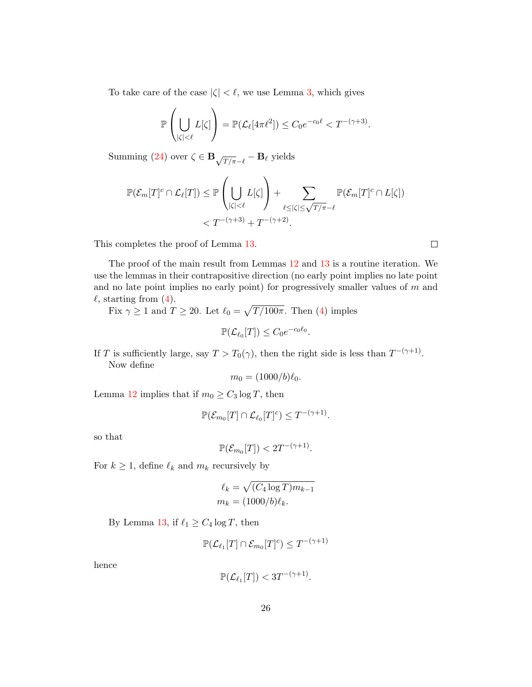To take care of the case  $|\zeta| < \ell$ , we use Lemma [3,](#page-7-0) which gives

$$
\mathbb{P}\left(\bigcup_{|\zeta|<\ell}L[\zeta]\right)=\mathbb{P}(\mathcal{L}_{\ell}[4\pi\ell^2])\leq C_0e^{-c_0\ell}
$$

Summing [\(24\)](#page-24-1) over  $\zeta \in \mathbf{B}_{\sqrt{T/\pi}-\ell}-\mathbf{B}_{\ell}$  yields

$$
\mathbb{P}(\mathcal{E}_m[T]^c \cap \mathcal{L}_{\ell}[T]) \leq \mathbb{P}\left(\bigcup_{|\zeta| < \ell} L[\zeta]\right) + \sum_{\ell \leq |\zeta| \leq \sqrt{T/\pi} - \ell} \mathbb{P}(\mathcal{E}_m[T]^c \cap L[\zeta]) < T^{-(\gamma+3)} + T^{-(\gamma+2)}.
$$

This completes the proof of Lemma [13.](#page-23-1)

The proof of the main result from Lemmas [12](#page-20-1) and [13](#page-23-1) is a routine iteration. We use the lemmas in their contrapositive direction (no early point implies no late point and no late point implies no early point) for progressively smaller values of  $m$  and  $\ell$ , starting from [\(4\)](#page-7-3).

Fix  $\gamma \ge 1$  and  $T \ge 20$ . Let  $\ell_0 = \sqrt{T/100\pi}$ . Then [\(4\)](#page-7-3) imples

$$
\mathbb{P}(\mathcal{L}_{\ell_0}[T]) \leq C_0 e^{-c_0 \ell_0}.
$$

If T is sufficiently large, say  $T > T_0(\gamma)$ , then the right side is less than  $T^{-(\gamma+1)}$ . Now define

$$
m_0 = (1000/b)\ell_0.
$$

Lemma [12](#page-20-1) implies that if  $m_0 \geq C_3 \log T$ , then

$$
\mathbb{P}(\mathcal{E}_{m_0}[T] \cap \mathcal{L}_{\ell_0}[T]^c) \leq T^{-(\gamma+1)}.
$$

so that

 $\mathbb{P}(\mathcal{E}_{m_0}[T]) < 2T^{-(\gamma+1)}.$ 

For  $k \geq 1$ , define  $\ell_k$  and  $m_k$  recursively by

$$
\ell_k = \sqrt{(C_4 \log T) m_{k-1}}
$$

$$
m_k = (1000/b)\ell_k.
$$

By Lemma [13,](#page-23-1) if  $\ell_1 \geq C_4 \log T$ , then

$$
\mathbb{P}(\mathcal{L}_{\ell_1}[T] \cap \mathcal{E}_{m_0}[T]^c) \leq T^{-(\gamma+1)}
$$

hence

$$
\mathbb{P}(\mathcal{L}_{\ell_1}[T]) < 3T^{-(\gamma+1)}.
$$

 $\Box$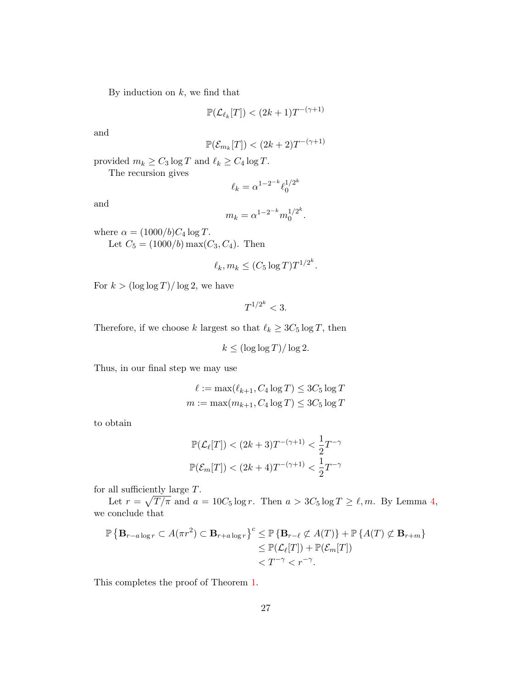By induction on  $k$ , we find that

$$
\mathbb{P}(\mathcal{L}_{\ell_k}[T]) < (2k+1)T^{-(\gamma+1)}
$$

and

$$
\mathbb{P}(\mathcal{E}_{m_k}[T]) < (2k+2)T^{-(\gamma+1)}
$$

provided  $m_k \geq C_3 \log T$  and  $\ell_k \geq C_4 \log T$ .

The recursion gives

$$
\ell_k = \alpha^{1 - 2^{-k}} \ell_0^{1/2^k}
$$

and

$$
m_k = \alpha^{1 - 2^{-k}} m_0^{1/2^k}.
$$

where  $\alpha = (1000/b)C_4 \log T$ . Let  $C_5 = (1000/b) \max(C_3, C_4)$ . Then

$$
\ell_k, m_k \le (C_5 \log T) T^{1/2^k}.
$$

For  $k > (\log \log T)/\log 2$ , we have

$$
T^{1/2^k} < 3.
$$

Therefore, if we choose k largest so that  $\ell_k \ge 3C_5 \log T$ , then

 $k \leq (\log \log T)/\log 2.$ 

Thus, in our final step we may use

$$
\ell := \max(\ell_{k+1}, C_4 \log T) \le 3C_5 \log T
$$

$$
m := \max(m_{k+1}, C_4 \log T) \le 3C_5 \log T
$$

to obtain

$$
\mathbb{P}(\mathcal{L}_{\ell}[T]) < (2k+3)T^{-(\gamma+1)} < \frac{1}{2}T^{-\gamma}
$$
  

$$
\mathbb{P}(\mathcal{E}_m[T]) < (2k+4)T^{-(\gamma+1)} < \frac{1}{2}T^{-\gamma}
$$

for all sufficiently large T.

Let  $r = \sqrt{T / \pi}$  and  $a = 10C_5 \log r$ . Then  $a > 3C_5 \log T \ge \ell, m$ . By Lemma [4,](#page-7-4) we conclude that

$$
\mathbb{P}\left\{\mathbf{B}_{r-a\log r} \subset A(\pi r^2) \subset \mathbf{B}_{r+a\log r}\right\}^c \leq \mathbb{P}\left\{\mathbf{B}_{r-\ell} \not\subset A(T)\right\} + \mathbb{P}\left\{A(T) \not\subset \mathbf{B}_{r+m}\right\} \leq \mathbb{P}(\mathcal{L}_{\ell}[T]) + \mathbb{P}(\mathcal{E}_m[T]) < T^{-\gamma} < r^{-\gamma}.
$$

This completes the proof of Theorem [1.](#page-2-1)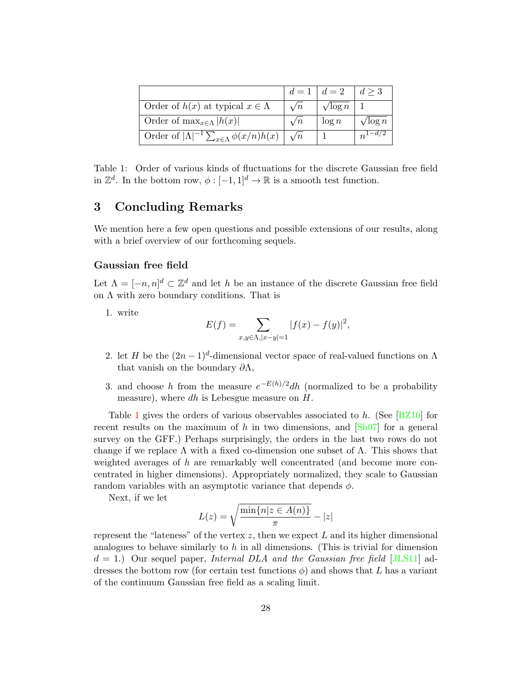|                                                               |            | $d=1$   $d=2$   $d\geq 3$ |                 |
|---------------------------------------------------------------|------------|---------------------------|-----------------|
| Order of $h(x)$ at typical $x \in \Lambda$                    | $\sqrt{n}$ | $\sqrt{\log n}$           |                 |
| Order of $\max_{x \in \Lambda}  h(x) $                        | $\sqrt{n}$ | $\log n$                  | $\sqrt{\log n}$ |
| Order of $ \Lambda ^{-1} \sum_{x \in \Lambda} \phi(x/n) h(x)$ | $\sqrt{n}$ |                           | $n^{1-d/2}$     |

<span id="page-27-1"></span>Table 1: Order of various kinds of fluctuations for the discrete Gaussian free field in  $\mathbb{Z}^d$ . In the bottom row,  $\phi: [-1,1]^d \to \mathbb{R}$  is a smooth test function.

# <span id="page-27-0"></span>3 Concluding Remarks

We mention here a few open questions and possible extensions of our results, along with a brief overview of our forthcoming sequels.

### Gaussian free field

Let  $\Lambda = [-n, n]^d \subset \mathbb{Z}^d$  and let h be an instance of the discrete Gaussian free field on  $\Lambda$  with zero boundary conditions. That is

1. write

$$
E(f) = \sum_{x,y \in \Lambda, |x-y|=1} |f(x) - f(y)|^2,
$$

- 2. let H be the  $(2n-1)^d$ -dimensional vector space of real-valued functions on  $\Lambda$ that vanish on the boundary  $\partial \Lambda$ ,
- 3. and choose h from the measure  $e^{-E(h)/2}dh$  (normalized to be a probability measure), where dh is Lebesgue measure on  $H$ .

Table [1](#page-27-1) gives the orders of various observables associated to h. (See [\[BZ10\]](#page-36-11) for recent results on the maximum of h in two dimensions, and  $[\text{Sh}07]$  for a general survey on the GFF.) Perhaps surprisingly, the orders in the last two rows do not change if we replace  $\Lambda$  with a fixed co-dimension one subset of  $\Lambda$ . This shows that weighted averages of  $h$  are remarkably well concentrated (and become more concentrated in higher dimensions). Appropriately normalized, they scale to Gaussian random variables with an asymptotic variance that depends  $\phi$ .

Next, if we let

$$
L(z) = \sqrt{\frac{\min\{n|z \in A(n)\}}{\pi}} - |z|
$$

represent the "lateness" of the vertex z, then we expect L and its higher dimensional analogues to behave similarly to  $h$  in all dimensions. (This is trivial for dimension  $d = 1$ .) Our sequel paper, Internal DLA and the Gaussian free field [\[JLS11\]](#page-36-7) addresses the bottom row (for certain test functions  $\phi$ ) and shows that L has a variant of the continuum Gaussian free field as a scaling limit.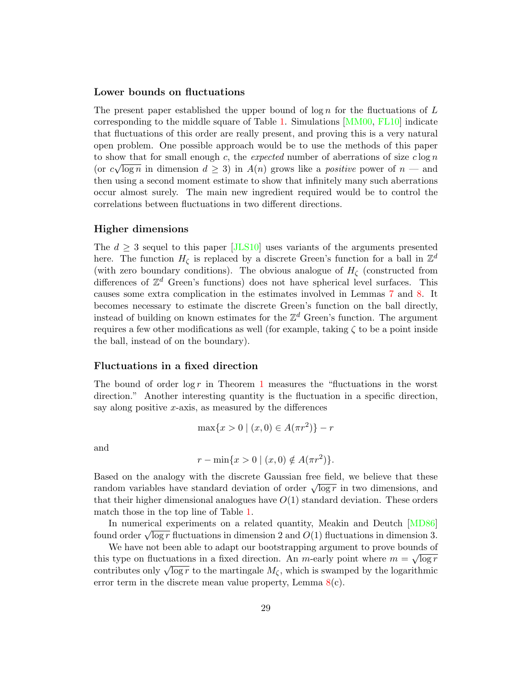#### Lower bounds on fluctuations

The present paper established the upper bound of  $\log n$  for the fluctuations of L corresponding to the middle square of Table [1.](#page-27-1) Simulations [\[MM00,](#page-37-5) [FL10\]](#page-36-12) indicate that fluctuations of this order are really present, and proving this is a very natural open problem. One possible approach would be to use the methods of this paper to show that for small enough c, the expected number of aberrations of size  $c \log n$ (or  $c\sqrt{\log n}$  in dimension  $d \geq 3$ ) in  $A(n)$  grows like a *positive* power of  $n$  – and then using a second moment estimate to show that infinitely many such aberrations occur almost surely. The main new ingredient required would be to control the correlations between fluctuations in two different directions.

### Higher dimensions

The  $d \geq 3$  sequel to this paper [\[JLS10\]](#page-36-5) uses variants of the arguments presented here. The function  $H_{\zeta}$  is replaced by a discrete Green's function for a ball in  $\mathbb{Z}^d$ (with zero boundary conditions). The obvious analogue of  $H<sub>\zeta</sub>$  (constructed from differences of  $\mathbb{Z}^d$  Green's functions) does not have spherical level surfaces. This causes some extra complication in the estimates involved in Lemmas [7](#page-12-0) and [8.](#page-13-0) It becomes necessary to estimate the discrete Green's function on the ball directly, instead of building on known estimates for the  $\mathbb{Z}^d$  Green's function. The argument requires a few other modifications as well (for example, taking  $\zeta$  to be a point inside the ball, instead of on the boundary).

### Fluctuations in a fixed direction

The bound of order  $\log r$  in Theorem [1](#page-2-1) measures the "fluctuations in the worst direction." Another interesting quantity is the fluctuation in a specific direction, say along positive x-axis, as measured by the differences

$$
\max\{x > 0 \mid (x, 0) \in A(\pi r^2)\} - r
$$

and

$$
r - \min\{x > 0 \mid (x, 0) \notin A(\pi r^2)\}.
$$

Based on the analogy with the discrete Gaussian free field, we believe that these based on the analogy with the discrete Gaussian free held, we believe that these<br>random variables have standard deviation of order  $\sqrt{\log r}$  in two dimensions, and that their higher dimensional analogues have  $O(1)$  standard deviation. These orders match those in the top line of Table [1.](#page-27-1)

In numerical experiments on a related quantity, Meakin and Deutch [\[MD86\]](#page-37-0) found order  $\sqrt{\log r}$  fluctuations in dimension 2 and  $O(1)$  fluctuations in dimension 3.

We have not been able to adapt our bootstrapping argument to prove bounds of this type on fluctuations in a fixed direction. An *m*-early point where  $m = \sqrt{\log r}$ contributes only  $\sqrt{\log r}$  to the martingale  $M_{\zeta}$ , which is swamped by the logarithmic error term in the discrete mean value property, Lemma  $8(c)$  $8(c)$ .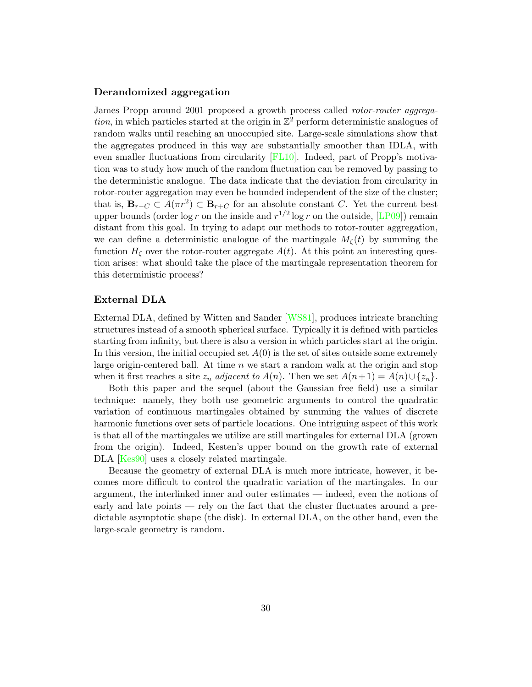### Derandomized aggregation

James Propp around 2001 proposed a growth process called rotor-router aggrega*tion*, in which particles started at the origin in  $\mathbb{Z}^2$  perform deterministic analogues of random walks until reaching an unoccupied site. Large-scale simulations show that the aggregates produced in this way are substantially smoother than IDLA, with even smaller fluctuations from circularity [\[FL10\]](#page-36-12). Indeed, part of Propp's motivation was to study how much of the random fluctuation can be removed by passing to the deterministic analogue. The data indicate that the deviation from circularity in rotor-router aggregation may even be bounded independent of the size of the cluster; that is,  $B_{r-C} \subset A(\pi r^2) \subset B_{r+C}$  for an absolute constant C. Yet the current best upper bounds (order  $\log r$  on the inside and  $r^{1/2} \log r$  on the outside, [\[LP09\]](#page-37-6)) remain distant from this goal. In trying to adapt our methods to rotor-router aggregation, we can define a deterministic analogue of the martingale  $M<sub>c</sub>(t)$  by summing the function  $H_{\zeta}$  over the rotor-router aggregate  $A(t)$ . At this point an interesting question arises: what should take the place of the martingale representation theorem for this deterministic process?

### External DLA

External DLA, defined by Witten and Sander [\[WS81\]](#page-37-7), produces intricate branching structures instead of a smooth spherical surface. Typically it is defined with particles starting from infinity, but there is also a version in which particles start at the origin. In this version, the initial occupied set  $A(0)$  is the set of sites outside some extremely large origin-centered ball. At time  $n \leq x$  start a random walk at the origin and stop when it first reaches a site  $z_n$  adjacent to  $A(n)$ . Then we set  $A(n+1) = A(n) \cup \{z_n\}$ .

Both this paper and the sequel (about the Gaussian free field) use a similar technique: namely, they both use geometric arguments to control the quadratic variation of continuous martingales obtained by summing the values of discrete harmonic functions over sets of particle locations. One intriguing aspect of this work is that all of the martingales we utilize are still martingales for external DLA (grown from the origin). Indeed, Kesten's upper bound on the growth rate of external DLA [\[Kes90\]](#page-36-13) uses a closely related martingale.

Because the geometry of external DLA is much more intricate, however, it becomes more difficult to control the quadratic variation of the martingales. In our argument, the interlinked inner and outer estimates — indeed, even the notions of early and late points — rely on the fact that the cluster fluctuates around a predictable asymptotic shape (the disk). In external DLA, on the other hand, even the large-scale geometry is random.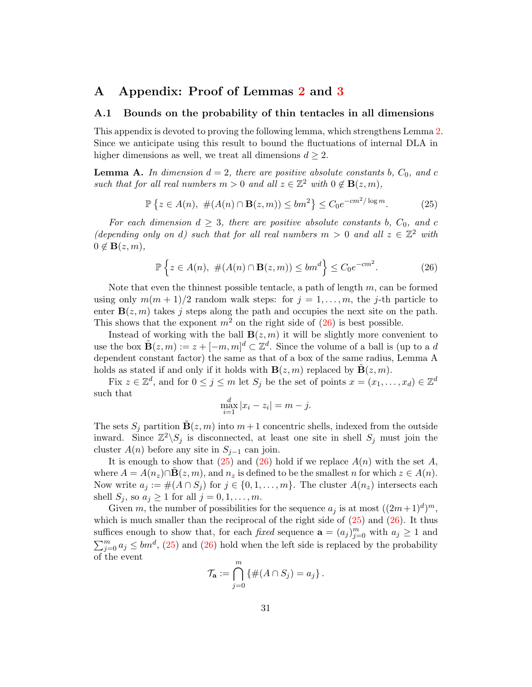# <span id="page-30-0"></span>A Appendix: Proof of Lemmas [2](#page-5-1) and [3](#page-7-0)

### <span id="page-30-1"></span>A.1 Bounds on the probability of thin tentacles in all dimensions

This appendix is devoted to proving the following lemma, which strengthens Lemma [2.](#page-5-1) Since we anticipate using this result to bound the fluctuations of internal DLA in higher dimensions as well, we treat all dimensions  $d \geq 2$ .

**Lemma A.** In dimension  $d = 2$ , there are positive absolute constants b,  $C_0$ , and c such that for all real numbers  $m > 0$  and all  $z \in \mathbb{Z}^2$  with  $0 \notin \mathbf{B}(z, m)$ ,

<span id="page-30-3"></span>
$$
\mathbb{P}\left\{z \in A(n), \ \#(A(n) \cap \mathbf{B}(z,m)) \le bm^2\right\} \le C_0 e^{-cm^2/\log m}.\tag{25}
$$

For each dimension  $d \geq 3$ , there are positive absolute constants b,  $C_0$ , and c (depending only on d) such that for all real numbers  $m > 0$  and all  $z \in \mathbb{Z}^2$  with  $0 \notin \mathbf{B}(z,m)$ ,

<span id="page-30-2"></span>
$$
\mathbb{P}\left\{z\in A(n),\ \#(A(n)\cap\mathbf{B}(z,m))\leq bm^d\right\}\leq C_0e^{-cm^2}.\tag{26}
$$

Note that even the thinnest possible tentacle, a path of length  $m$ , can be formed using only  $m(m + 1)/2$  random walk steps: for  $j = 1, \ldots, m$ , the j-th particle to enter  $\mathbf{B}(z,m)$  takes j steps along the path and occupies the next site on the path. This shows that the exponent  $m^2$  on the right side of  $(26)$  is best possible.

Instead of working with the ball  $\mathbf{B}(z,m)$  it will be slightly more convenient to use the box  $\tilde{\mathbf{B}}(z,m) := z + [-m, m]^d \subset \mathbb{Z}^d$ . Since the volume of a ball is (up to a d dependent constant factor) the same as that of a box of the same radius, Lemma A holds as stated if and only if it holds with  $\mathbf{B}(z,m)$  replaced by  $\mathbf{B}(z,m)$ .

Fix  $z \in \mathbb{Z}^d$ , and for  $0 \leq j \leq m$  let  $S_j$  be the set of points  $x = (x_1, \ldots, x_d) \in \mathbb{Z}^d$ such that

$$
\max_{i=1}^{d} |x_i - z_i| = m - j.
$$

The sets  $S_j$  partition  $\mathbf{B}(z,m)$  into  $m+1$  concentric shells, indexed from the outside inward. Since  $\mathbb{Z}^2 \backslash S_j$  is disconnected, at least one site in shell  $S_j$  must join the cluster  $A(n)$  before any site in  $S_{j-1}$  can join.

It is enough to show that  $(25)$  and  $(26)$  hold if we replace  $A(n)$  with the set A, where  $A = A(n_z) \cap B(z, m)$ , and  $n_z$  is defined to be the smallest n for which  $z \in A(n)$ . Now write  $a_j := \#(A \cap S_j)$  for  $j \in \{0, 1, \ldots, m\}$ . The cluster  $A(n_z)$  intersects each shell  $S_i$ , so  $a_j \geq 1$  for all  $j = 0, 1, \ldots, m$ .

Given m, the number of possibilities for the sequence  $a_j$  is at most  $((2m+1)<sup>d</sup>)<sup>m</sup>$ , which is much smaller than the reciprocal of the right side of  $(25)$  and  $(26)$ . It thus suffices enough to show that, for each *fixed* sequence  $\mathbf{a} = (a_j)_{j=0}^m$  with  $a_j \geq 1$  and  $\sum_{j=0}^{m} a_j \leq bm^d$ , [\(25\)](#page-30-3) and [\(26\)](#page-30-2) hold when the left side is replaced by the probability of the event

$$
\mathcal{T}_{\mathbf{a}} := \bigcap_{j=0}^m \left\{ \#(A \cap S_j) = a_j \right\}.
$$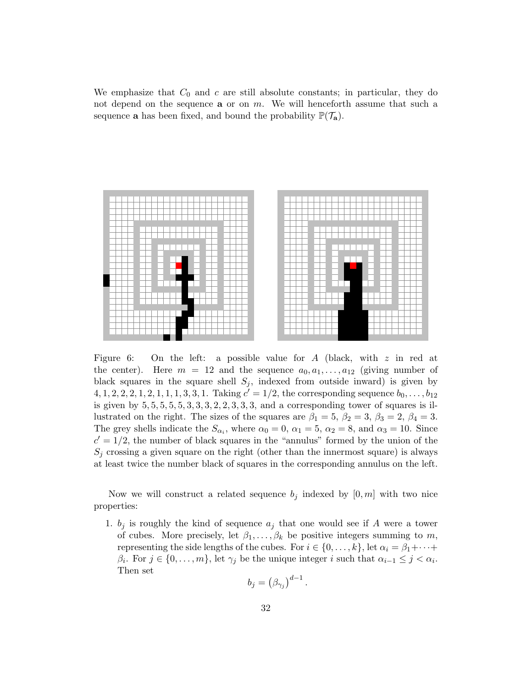We emphasize that  $C_0$  and c are still absolute constants; in particular, they do not depend on the sequence  $a$  or on  $m$ . We will henceforth assume that such a sequence **a** has been fixed, and bound the probability  $\mathbb{P}(\mathcal{T}_{a})$ .



<span id="page-31-0"></span>Figure 6: On the left: a possible value for A (black, with  $z$  in red at the center). Here  $m = 12$  and the sequence  $a_0, a_1, \ldots, a_{12}$  (giving number of black squares in the square shell  $S_i$ , indexed from outside inward) is given by  $4, 1, 2, 2, 2, 1, 2, 1, 1, 1, 3, 3, 1$ . Taking  $c' = 1/2$ , the corresponding sequence  $b_0, \ldots, b_{12}$ is given by  $5, 5, 5, 5, 5, 3, 3, 3, 2, 2, 3, 3, 3, 3$ , and a corresponding tower of squares is illustrated on the right. The sizes of the squares are  $\beta_1 = 5$ ,  $\beta_2 = 3$ ,  $\beta_3 = 2$ ,  $\beta_4 = 3$ . The grey shells indicate the  $S_{\alpha_i}$ , where  $\alpha_0 = 0$ ,  $\alpha_1 = 5$ ,  $\alpha_2 = 8$ , and  $\alpha_3 = 10$ . Since  $c' = 1/2$ , the number of black squares in the "annulus" formed by the union of the  $S_j$  crossing a given square on the right (other than the innermost square) is always at least twice the number black of squares in the corresponding annulus on the left.

Now we will construct a related sequence  $b_j$  indexed by  $[0, m]$  with two nice properties:

1.  $b_j$  is roughly the kind of sequence  $a_j$  that one would see if A were a tower of cubes. More precisely, let  $\beta_1, \ldots, \beta_k$  be positive integers summing to m, representing the side lengths of the cubes. For  $i \in \{0, \ldots, k\}$ , let  $\alpha_i = \beta_1 + \cdots + \beta_k$  $\beta_i$ . For  $j \in \{0, \ldots, m\}$ , let  $\gamma_j$  be the unique integer i such that  $\alpha_{i-1} \leq j < \alpha_i$ . Then set

$$
b_j = \left(\beta_{\gamma_j}\right)^{d-1}.
$$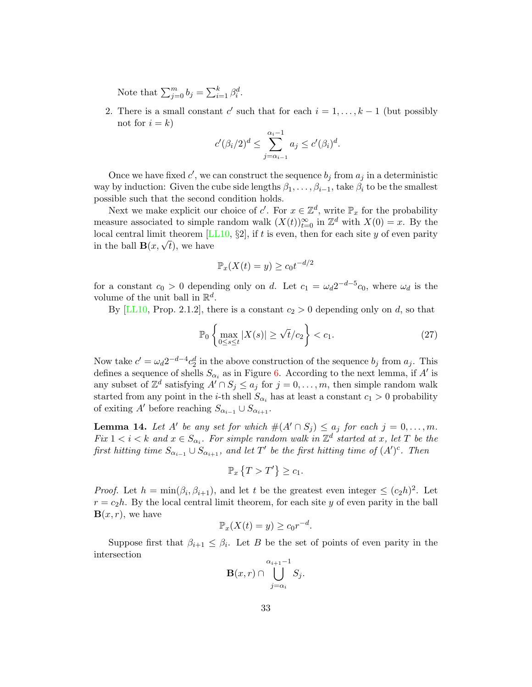Note that  $\sum_{j=0}^{m} b_j = \sum_{i=1}^{k} \beta_i^d$ .

2. There is a small constant c' such that for each  $i = 1, \ldots, k - 1$  (but possibly not for  $i = k$ )

$$
c'(\beta_i/2)^d \le \sum_{j=\alpha_{i-1}}^{\alpha_i-1} a_j \le c'(\beta_i)^d.
$$

Once we have fixed  $c'$ , we can construct the sequence  $b_j$  from  $a_j$  in a deterministic way by induction: Given the cube side lengths  $\beta_1, \ldots, \beta_{i-1}$ , take  $\beta_i$  to be the smallest possible such that the second condition holds.

Next we make explicit our choice of c'. For  $x \in \mathbb{Z}^d$ , write  $\mathbb{P}_x$  for the probability measure associated to simple random walk  $(X(t))_{t=0}^{\infty}$  in  $\mathbb{Z}^{d}$  with  $X(0) = x$ . By the local central limit theorem  $[LL10, \S2]$  $[LL10, \S2]$ , if t is even, then for each site y of even parity in the ball  $\mathbf{B}(x,\sqrt{t})$ , we have

$$
\mathbb{P}_x(X(t) = y) \ge c_0 t^{-d/2}
$$

for a constant  $c_0 > 0$  depending only on d. Let  $c_1 = \omega_d 2^{-d-5} c_0$ , where  $\omega_d$  is the volume of the unit ball in  $\mathbb{R}^d$ .

By [\[LL10,](#page-36-10) Prop. 2.1.2], there is a constant  $c_2 > 0$  depending only on d, so that

<span id="page-32-0"></span>
$$
\mathbb{P}_0\left\{\max_{0\leq s\leq t}|X(s)|\geq \sqrt{t}/c_2\right\} < c_1. \tag{27}
$$

Now take  $c' = \omega_d 2^{-d-4} c_2^d$  in the above construction of the sequence  $b_j$  from  $a_j$ . This defines a sequence of shells  $S_{\alpha_i}$  as in Figure [6.](#page-31-0) According to the next lemma, if A' is any subset of  $\mathbb{Z}^d$  satisfying  $A' \cap S_j \leq a_j$  for  $j = 0, \ldots, m$ , then simple random walk started from any point in the *i*-th shell  $S_{\alpha_i}$  has at least a constant  $c_1 > 0$  probability of exiting A' before reaching  $S_{\alpha_{i-1}} \cup S_{\alpha_{i+1}}$ .

<span id="page-32-1"></span>**Lemma 14.** Let A' be any set for which  $\#(A' \cap S_j) \leq a_j$  for each  $j = 0, \ldots, m$ . Fix  $1 < i < k$  and  $x \in S_{\alpha_i}$ . For simple random walk in  $\mathbb{Z}^d$  started at x, let T be the first hitting time  $S_{\alpha_{i-1}} \cup S_{\alpha_{i+1}}$ , and let T' be the first hitting time of  $(A')^c$ . Then

$$
\mathbb{P}_x \left\{ T > T' \right\} \ge c_1.
$$

*Proof.* Let  $h = \min(\beta_i, \beta_{i+1})$ , and let t be the greatest even integer  $\leq (c_2 h)^2$ . Let  $r = c_2 h$ . By the local central limit theorem, for each site y of even parity in the ball  $\mathbf{B}(x,r)$ , we have

$$
\mathbb{P}_x(X(t) = y) \ge c_0 r^{-d}.
$$

Suppose first that  $\beta_{i+1} \leq \beta_i$ . Let B be the set of points of even parity in the intersection

$$
\mathbf{B}(x,r) \cap \bigcup_{j=\alpha_i}^{\alpha_{i+1}-1} S_j.
$$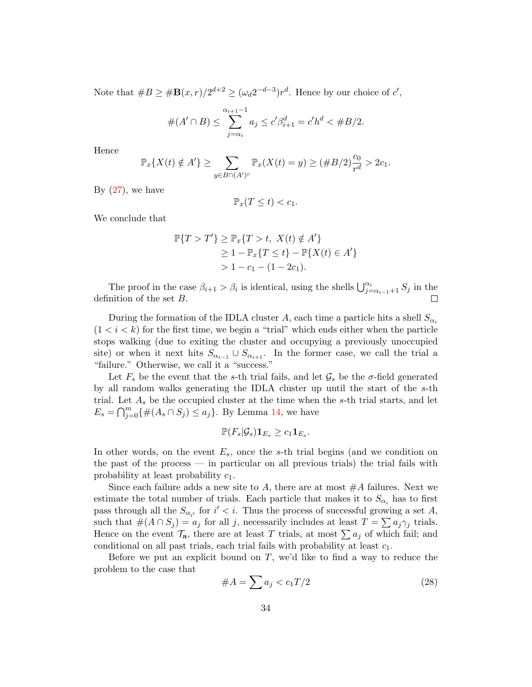Note that  $#B \geq #\mathbf{B}(x,r)/2^{d+2} \geq (\omega_d 2^{-d-3})r^d$ . Hence by our choice of  $c'$ ,

$$
#(A' \cap B) \le \sum_{j=\alpha_i}^{\alpha_{i+1}-1} a_j \le c'\beta_{i+1}^d = c'h^d < \#B/2.
$$

Hence

$$
\mathbb{P}_x\{X(t) \notin A'\} \ge \sum_{y \in B \cap (A')^c} \mathbb{P}_x(X(t) = y) \ge (\#B/2)_{\substack{d \\ r \le 0}}^{\mathcal{C}_0} > 2c_1.
$$

By  $(27)$ , we have

$$
\mathbb{P}_x(T \le t) < c_1.
$$

We conclude that

$$
\mathbb{P}\{T > T'\} \ge \mathbb{P}_x\{T > t, \ X(t) \notin A'\}
$$
  
\n
$$
\ge 1 - \mathbb{P}_x\{T \le t\} - \mathbb{P}\{X(t) \in A'\}
$$
  
\n
$$
> 1 - c_1 - (1 - 2c_1).
$$

The proof in the case  $\beta_{i+1} > \beta_i$  is identical, using the shells  $\bigcup_{j=\alpha_{i-1}+1}^{\alpha_i} S_j$  in the definition of the set B.

During the formation of the IDLA cluster A, each time a particle hits a shell  $S_{\alpha_i}$  $(1 < i < k)$  for the first time, we begin a "trial" which ends either when the particle stops walking (due to exiting the cluster and occupying a previously unoccupied site) or when it next hits  $S_{\alpha_{i-1}} \cup S_{\alpha_{i+1}}$ . In the former case, we call the trial a "failure." Otherwise, we call it a "success."

Let  $F_s$  be the event that the s-th trial fails, and let  $\mathcal{G}_s$  be the  $\sigma$ -field generated by all random walks generating the IDLA cluster up until the start of the s-th trial. Let  $A_s$  be the occupied cluster at the time when the s-th trial starts, and let  $E_s = \bigcap_{j=0}^m {\{\#(A_s \cap S_j) \leq a_j\}}$ . By Lemma [14,](#page-32-1) we have

$$
\mathbb{P}(F_s|\mathcal{G}_s)\mathbf{1}_{E_s}\geq c_1\mathbf{1}_{E_s}.
$$

In other words, on the event  $E_s$ , once the s-th trial begins (and we condition on the past of the process — in particular on all previous trials) the trial fails with probability at least probability  $c_1$ .

Since each failure adds a new site to A, there are at most  $#A$  failures. Next we estimate the total number of trials. Each particle that makes it to  $S_{\alpha_i}$  has to first pass through all the  $S_{\alpha_{i'}}$  for  $i' < i$ . Thus the process of successful growing a set A, such that  $\#(A \cap S_j) = a_j$  for all j, necessarily includes at least  $T = \sum a_j \gamma_j$  trials. Hence on the event  $\mathcal{T}_a$ , there are at least T trials, at most  $\sum a_j$  of which fail; and conditional on all past trials, each trial fails with probability at least  $c_1$ .

Before we put an explicit bound on  $T$ , we'd like to find a way to reduce the problem to the case that

<span id="page-33-0"></span>
$$
\#A = \sum a_j < c_1 T/2 \tag{28}
$$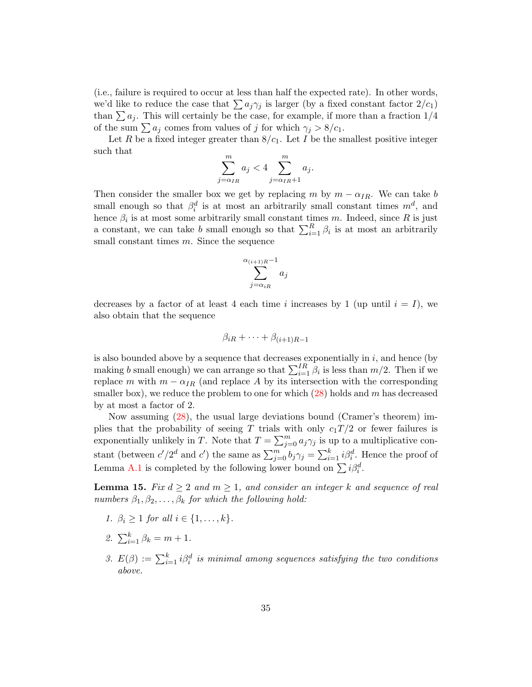(i.e., failure is required to occur at less than half the expected rate). In other words, we'd like to reduce the case that  $\sum a_j \gamma_j$  is larger (by a fixed constant factor  $2/c_1$ ) than  $\sum a_j$ . This will certainly be the case, for example, if more than a fraction  $1/4$ of the sum  $\sum a_j$  comes from values of j for which  $\gamma_j > 8/c_1$ .

Let R be a fixed integer greater than  $8/c<sub>1</sub>$ . Let I be the smallest positive integer such that

$$
\sum_{j=\alpha_{IR}}^{m} a_j < 4 \sum_{j=\alpha_{IR}+1}^{m} a_j.
$$

Then consider the smaller box we get by replacing m by  $m - \alpha_{IR}$ . We can take b small enough so that  $\beta_i^d$  is at most an arbitrarily small constant times  $m^d$ , and hence  $\beta_i$  is at most some arbitrarily small constant times m. Indeed, since R is just a constant, we can take b small enough so that  $\sum_{i=1}^{R} \beta_i$  is at most an arbitrarily small constant times  $m$ . Since the sequence

$$
\sum_{j=\alpha_{iR}}^{\alpha_{(i+1)R}-1} a_j
$$

decreases by a factor of at least 4 each time i increases by 1 (up until  $i = I$ ), we also obtain that the sequence

$$
\beta_{iR} + \cdots + \beta_{(i+1)R-1}
$$

is also bounded above by a sequence that decreases exponentially in  $i$ , and hence (by making b small enough) we can arrange so that  $\sum_{i=1}^{IR} \beta_i$  is less than  $m/2$ . Then if we replace m with  $m - \alpha_{IR}$  (and replace A by its intersection with the corresponding smaller box), we reduce the problem to one for which  $(28)$  holds and m has decreased by at most a factor of 2.

Now assuming [\(28\)](#page-33-0), the usual large deviations bound (Cramer's theorem) implies that the probability of seeing T trials with only  $c_1T/2$  or fewer failures is exponentially unlikely in T. Note that  $T = \sum_{j=0}^{m} a_j \gamma_j$  is up to a multiplicative constant (between  $c'/2^d$  and  $c'$ ) the same as  $\sum_{j=0}^m b_j \gamma_j = \sum_{i=1}^k i \beta_i^d$ . Hence the proof of Lemma [A.1](#page-30-1) is completed by the following lower bound on  $\sum i \beta_i^d$ .

**Lemma 15.** Fix  $d \geq 2$  and  $m \geq 1$ , and consider an integer k and sequence of real numbers  $\beta_1, \beta_2, \ldots, \beta_k$  for which the following hold:

- 1.  $\beta_i \geq 1$  for all  $i \in \{1, ..., k\}$ .
- 2.  $\sum_{i=1}^{k} \beta_k = m + 1$ .
- 3.  $E(\beta) := \sum_{i=1}^{k} i \beta_i^d$  is minimal among sequences satisfying the two conditions above.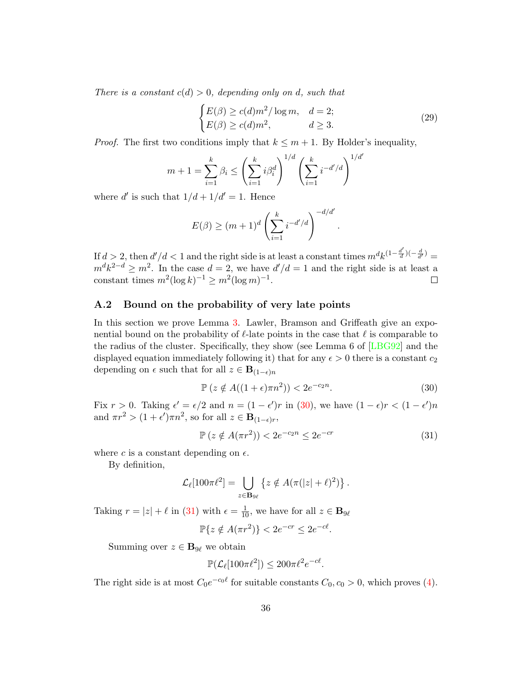There is a constant  $c(d) > 0$ , depending only on d, such that

$$
\begin{cases} E(\beta) \ge c(d)m^2/\log m, & d = 2; \\ E(\beta) \ge c(d)m^2, & d \ge 3. \end{cases}
$$
 (29)

.

*Proof.* The first two conditions imply that  $k \leq m + 1$ . By Holder's inequality,

$$
m + 1 = \sum_{i=1}^{k} \beta_i \le \left(\sum_{i=1}^{k} i \beta_i^d\right)^{1/d} \left(\sum_{i=1}^{k} i^{-d'/d}\right)^{1/d'}
$$

where d' is such that  $1/d + 1/d' = 1$ . Hence

$$
E(\beta) \ge (m+1)^d \left(\sum_{i=1}^k i^{-d'/d}\right)^{-d/d'}
$$

If  $d > 2$ , then  $d'/d < 1$  and the right side is at least a constant times  $m^d k^{(1-\frac{d'}{d})}$  $\frac{d'}{d}\left(\frac{d}{d'}\right) =$  $m^d k^{2-d} \geq m^2$ . In the case  $d=2$ , we have  $d'/d=1$  and the right side is at least a constant times  $m^2(\log k)^{-1} \geq m^2(\log m)^{-1}$ .  $\Box$ 

### <span id="page-35-0"></span>A.2 Bound on the probability of very late points

In this section we prove Lemma [3.](#page-7-0) Lawler, Bramson and Griffeath give an exponential bound on the probability of  $\ell$ -late points in the case that  $\ell$  is comparable to the radius of the cluster. Specifically, they show (see Lemma 6 of [\[LBG92\]](#page-36-1) and the displayed equation immediately following it) that for any  $\epsilon > 0$  there is a constant  $c_2$ depending on  $\epsilon$  such that for all  $z \in \mathbf{B}_{(1-\epsilon)n}$ 

<span id="page-35-1"></span>
$$
\mathbb{P}\left(z \notin A((1+\epsilon)\pi n^2)\right) < 2e^{-c_2 n}.\tag{30}
$$

Fix  $r > 0$ . Taking  $\epsilon' = \epsilon/2$  and  $n = (1 - \epsilon')r$  in [\(30\)](#page-35-1), we have  $(1 - \epsilon)r < (1 - \epsilon')n$ and  $\pi r^2 > (1 + \epsilon') \pi n^2$ , so for all  $z \in \mathbf{B}_{(1-\epsilon)r}$ ,

<span id="page-35-2"></span>
$$
\mathbb{P}\left(z \notin A(\pi r^2)\right) < 2e^{-c_2 n} \le 2e^{-cr} \tag{31}
$$

where c is a constant depending on  $\epsilon$ .

By definition,

$$
\mathcal{L}_{\ell}[100\pi\ell^2] = \bigcup_{z \in \mathbf{B}_{9\ell}} \left\{ z \notin A(\pi(|z|+\ell)^2) \right\}.
$$

Taking  $r = |z| + \ell$  in [\(31\)](#page-35-2) with  $\epsilon = \frac{1}{10}$ , we have for all  $z \in \mathbf{B}_{9\ell}$ 

$$
\mathbb{P}\{z \notin A(\pi r^2)\} < 2e^{-cr} \leq 2e^{-c\ell}.
$$

Summing over  $z \in \mathbf{B}_{9\ell}$  we obtain

$$
\mathbb{P}(\mathcal{L}_{\ell}[100\pi\ell^2]) \leq 200\pi\ell^2e^{-c\ell}.
$$

The right side is at most  $C_0e^{-c_0\ell}$  for suitable constants  $C_0$ ,  $c_0 > 0$ , which proves [\(4\)](#page-7-3).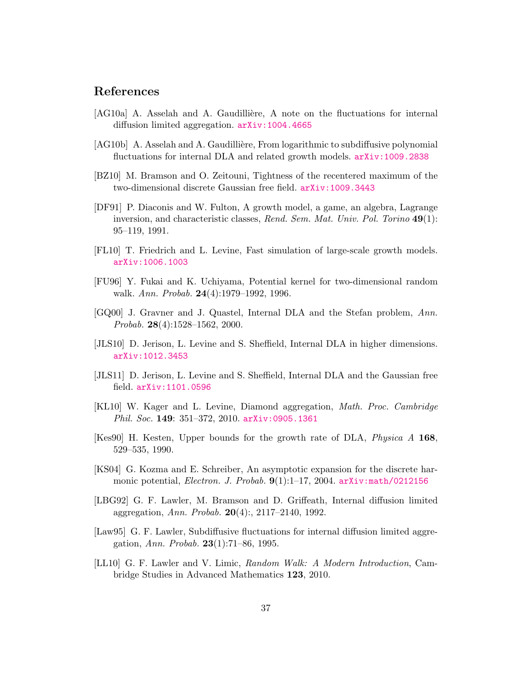## References

- <span id="page-36-4"></span>[AG10a] A. Asselah and A. Gaudillière, A note on the fluctuations for internal diffusion limited aggregation. [arXiv:1004.4665](http://arxiv.org/abs/1004.4665)
- <span id="page-36-6"></span>[AG10b] A. Asselah and A. Gaudillière, From logarithmic to subdiffusive polynomial fluctuations for internal DLA and related growth models. [arXiv:1009.2838](http://arxiv.org/abs/1009.2838)
- <span id="page-36-11"></span>[BZ10] M. Bramson and O. Zeitouni, Tightness of the recentered maximum of the two-dimensional discrete Gaussian free field. [arXiv:1009.3443](http://arxiv.org/abs/1009.3443)
- <span id="page-36-0"></span>[DF91] P. Diaconis and W. Fulton, A growth model, a game, an algebra, Lagrange inversion, and characteristic classes, Rend. Sem. Mat. Univ. Pol. Torino 49(1): 95–119, 1991.
- <span id="page-36-12"></span>[FL10] T. Friedrich and L. Levine, Fast simulation of large-scale growth models. [arXiv:1006.1003](http://arxiv.org/abs/1006.1003)
- <span id="page-36-8"></span>[FU96] Y. Fukai and K. Uchiyama, Potential kernel for two-dimensional random walk. Ann. Probab. **24**(4):1979–1992, 1996.
- <span id="page-36-3"></span>[GQ00] J. Gravner and J. Quastel, Internal DLA and the Stefan problem, Ann. Probab. 28(4):1528–1562, 2000.
- <span id="page-36-5"></span>[JLS10] D. Jerison, L. Levine and S. Sheffield, Internal DLA in higher dimensions. [arXiv:1012.3453](http://arxiv.org/abs/1012.3453)
- <span id="page-36-7"></span>[JLS11] D. Jerison, L. Levine and S. Sheffield, Internal DLA and the Gaussian free field. [arXiv:1101.0596](http://arxiv.org/abs/1101.0596)
- [KL10] W. Kager and L. Levine, Diamond aggregation, Math. Proc. Cambridge Phil. Soc. 149: 351-372, 2010. arXiv: 0905.1361
- <span id="page-36-13"></span>[Kes90] H. Kesten, Upper bounds for the growth rate of DLA, Physica A 168, 529–535, 1990.
- <span id="page-36-9"></span>[KS04] G. Kozma and E. Schreiber, An asymptotic expansion for the discrete harmonic potential, Electron. J. Probab. 9(1):1-17, 2004. [arXiv:math/0212156](http://arxiv.org/abs/math/0212156)
- <span id="page-36-1"></span>[LBG92] G. F. Lawler, M. Bramson and D. Griffeath, Internal diffusion limited aggregation, Ann. Probab.  $20(4)$ :, 2117–2140, 1992.
- <span id="page-36-2"></span>[Law95] G. F. Lawler, Subdiffusive fluctuations for internal diffusion limited aggregation, Ann. Probab. 23(1):71–86, 1995.
- <span id="page-36-10"></span>[LL10] G. F. Lawler and V. Limic, Random Walk: A Modern Introduction, Cambridge Studies in Advanced Mathematics 123, 2010.